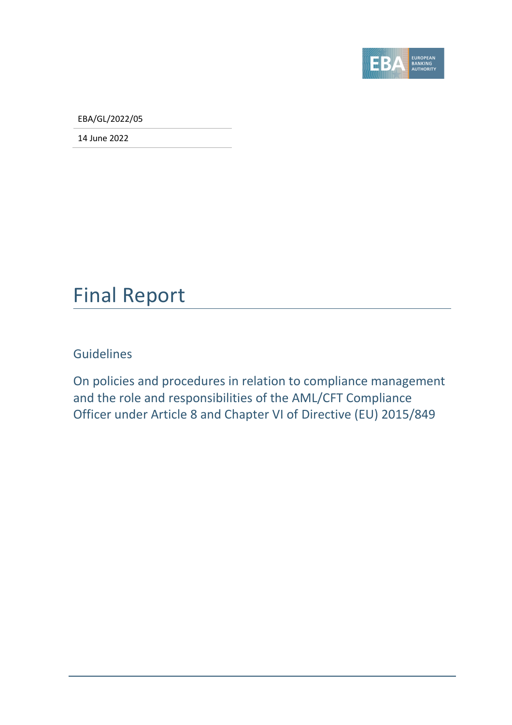

EBA/GL/2022/05

14 June 2022

# Final Report

Guidelines

On policies and procedures in relation to compliance management and the role and responsibilities of the AML/CFT Compliance Officer under Article 8 and Chapter VI of Directive (EU) 2015/849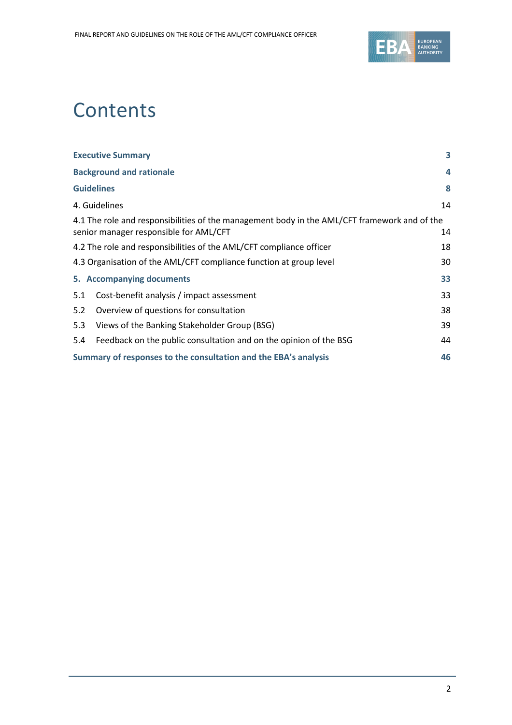

# **Contents**

| <b>Executive Summary</b>                                                                                                               | 3  |
|----------------------------------------------------------------------------------------------------------------------------------------|----|
| <b>Background and rationale</b>                                                                                                        | 4  |
| <b>Guidelines</b>                                                                                                                      | 8  |
| 4. Guidelines                                                                                                                          | 14 |
| 4.1 The role and responsibilities of the management body in the AML/CFT framework and of the<br>senior manager responsible for AML/CFT | 14 |
| 4.2 The role and responsibilities of the AML/CFT compliance officer                                                                    | 18 |
| 4.3 Organisation of the AML/CFT compliance function at group level                                                                     | 30 |
| 5. Accompanying documents                                                                                                              | 33 |
| 5.1<br>Cost-benefit analysis / impact assessment                                                                                       | 33 |
| 5.2<br>Overview of questions for consultation                                                                                          | 38 |
| 5.3<br>Views of the Banking Stakeholder Group (BSG)                                                                                    | 39 |
| Feedback on the public consultation and on the opinion of the BSG<br>5.4                                                               | 44 |
| Summary of responses to the consultation and the EBA's analysis                                                                        | 46 |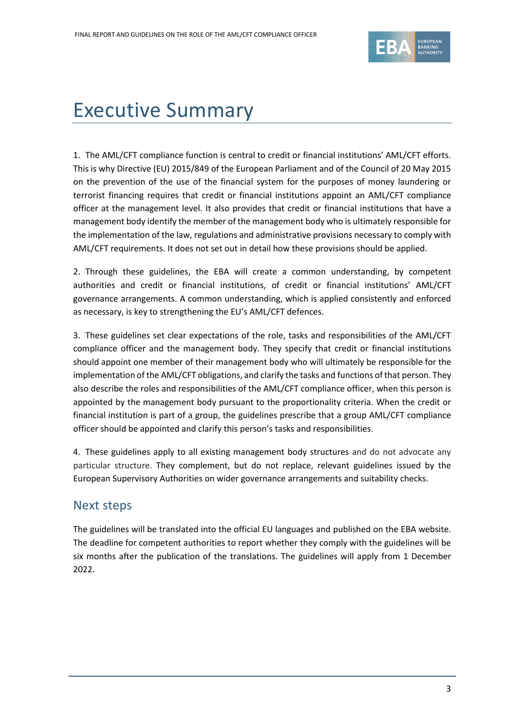

# <span id="page-2-0"></span>Executive Summary

1. The AML/CFT compliance function is central to credit or financial institutions' AML/CFT efforts. This is why Directive (EU) 2015/849 of the European Parliament and of the Council of 20 May 2015 on the prevention of the use of the financial system for the purposes of money laundering or terrorist financing requires that credit or financial institutions appoint an AML/CFT compliance officer at the management level. It also provides that credit or financial institutions that have a management body identify the member of the management body who is ultimately responsible for the implementation of the law, regulations and administrative provisions necessary to comply with AML/CFT requirements. It does not set out in detail how these provisions should be applied.

2. Through these guidelines, the EBA will create a common understanding, by competent authorities and credit or financial institutions, of credit or financial institutions' AML/CFT governance arrangements. A common understanding, which is applied consistently and enforced as necessary, is key to strengthening the EU's AML/CFT defences.

3. These guidelines set clear expectations of the role, tasks and responsibilities of the AML/CFT compliance officer and the management body. They specify that credit or financial institutions should appoint one member of their management body who will ultimately be responsible for the implementation of the AML/CFT obligations, and clarify the tasks and functions of that person. They also describe the roles and responsibilities of the AML/CFT compliance officer, when this person is appointed by the management body pursuant to the proportionality criteria. When the credit or financial institution is part of a group, the guidelines prescribe that a group AML/CFT compliance officer should be appointed and clarify this person's tasks and responsibilities.

4. These guidelines apply to all existing management body structures and do not advocate any particular structure. They complement, but do not replace, relevant guidelines issued by the European Supervisory Authorities on wider governance arrangements and suitability checks.

### Next steps

The guidelines will be translated into the official EU languages and published on the EBA website. The deadline for competent authorities to report whether they comply with the guidelines will be six months after the publication of the translations. The guidelines will apply from 1 December 2022.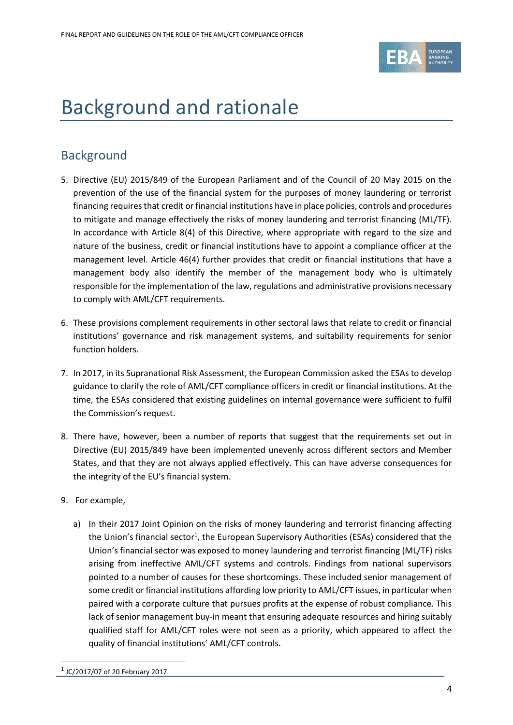

# <span id="page-3-0"></span>Background and rationale

## **Background**

- 5. Directive (EU) 2015/849 of the European Parliament and of the Council of 20 May 2015 on the prevention of the use of the financial system for the purposes of money laundering or terrorist financing requires that credit or financial institutions have in place policies, controls and procedures to mitigate and manage effectively the risks of money laundering and terrorist financing (ML/TF). In accordance with Article 8(4) of this Directive, where appropriate with regard to the size and nature of the business, credit or financial institutions have to appoint a compliance officer at the management level. Article 46(4) further provides that credit or financial institutions that have a management body also identify the member of the management body who is ultimately responsible for the implementation of the law, regulations and administrative provisions necessary to comply with AML/CFT requirements.
- 6. These provisions complement requirements in other sectoral laws that relate to credit or financial institutions' governance and risk management systems, and suitability requirements for senior function holders.
- 7. In 2017, in its Supranational Risk Assessment, the European Commission asked the ESAs to develop guidance to clarify the role of AML/CFT compliance officers in credit or financial institutions. At the time, the ESAs considered that existing guidelines on internal governance were sufficient to fulfil the Commission's request.
- 8. There have, however, been a number of reports that suggest that the requirements set out in Directive (EU) 2015/849 have been implemented unevenly across different sectors and Member States, and that they are not always applied effectively. This can have adverse consequences for the integrity of the EU's financial system.
- 9. For example,
	- a) In their 2017 Joint Opinion on the risks of money laundering and terrorist financing affecting the Union's financial sector<sup>1</sup>, the European Supervisory Authorities (ESAs) considered that the Union's financial sector was exposed to money laundering and terrorist financing (ML/TF) risks arising from ineffective AML/CFT systems and controls. Findings from national supervisors pointed to a number of causes for these shortcomings. These included senior management of some credit or financial institutions affording low priority to AML/CFT issues, in particular when paired with a corporate culture that pursues profits at the expense of robust compliance. This lack of senior management buy-in meant that ensuring adequate resources and hiring suitably qualified staff for AML/CFT roles were not seen as a priority, which appeared to affect the quality of financial institutions' AML/CFT controls.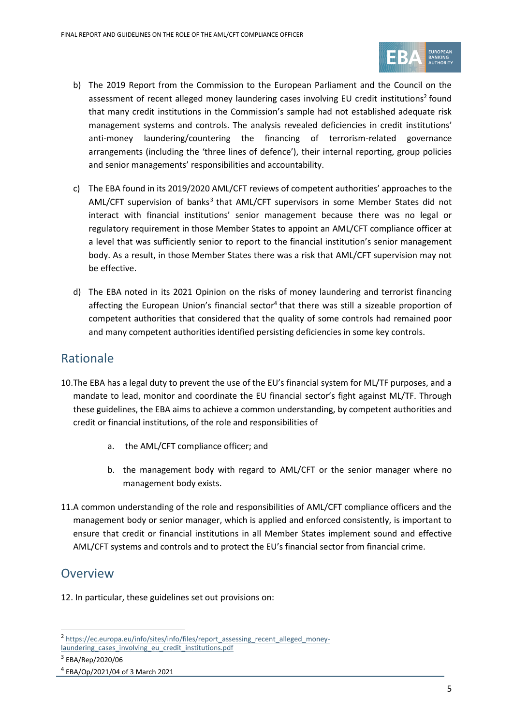

- b) The 2019 Report from the Commission to the European Parliament and the Council on the assessment of recent alleged money laundering cases involving EU credit institutions<sup>2</sup> found that many credit institutions in the Commission's sample had not established adequate risk management systems and controls. The analysis revealed deficiencies in credit institutions' anti-money laundering/countering the financing of terrorism-related governance arrangements (including the 'three lines of defence'), their internal reporting, group policies and senior managements' responsibilities and accountability.
- c) The EBA found in its 2019/2020 AML/CFT reviews of competent authorities' approaches to the AML/CFT supervision of banks<sup>3</sup> that AML/CFT supervisors in some Member States did not interact with financial institutions' senior management because there was no legal or regulatory requirement in those Member States to appoint an AML/CFT compliance officer at a level that was sufficiently senior to report to the financial institution's senior management body. As a result, in those Member States there was a risk that AML/CFT supervision may not be effective.
- d) The EBA noted in its 2021 Opinion on the risks of money laundering and terrorist financing affecting the European Union's financial sector<sup>4</sup> that there was still a sizeable proportion of competent authorities that considered that the quality of some controls had remained poor and many competent authorities identified persisting deficiencies in some key controls.

## Rationale

- 10.The EBA has a legal duty to prevent the use of the EU's financial system for ML/TF purposes, and a mandate to lead, monitor and coordinate the EU financial sector's fight against ML/TF. Through these guidelines, the EBA aims to achieve a common understanding, by competent authorities and credit or financial institutions, of the role and responsibilities of
	- a. the AML/CFT compliance officer; and
	- b. the management body with regard to AML/CFT or the senior manager where no management body exists.
- 11.A common understanding of the role and responsibilities of AML/CFT compliance officers and the management body or senior manager, which is applied and enforced consistently, is important to ensure that credit or financial institutions in all Member States implement sound and effective AML/CFT systems and controls and to protect the EU's financial sector from financial crime.

### **Overview**

12. In particular, these guidelines set out provisions on:

<sup>&</sup>lt;sup>2</sup> [https://ec.europa.eu/info/sites/info/files/report\\_assessing\\_recent\\_alleged\\_money](https://ec.europa.eu/info/sites/info/files/report_assessing_recent_alleged_money-laundering_cases_involving_eu_credit_institutions.pdf)laundering cases involving eu credit institutions.pdf

<sup>3</sup> EBA/Rep/2020/06

<sup>4</sup> EBA/Op/2021/04 of 3 March 2021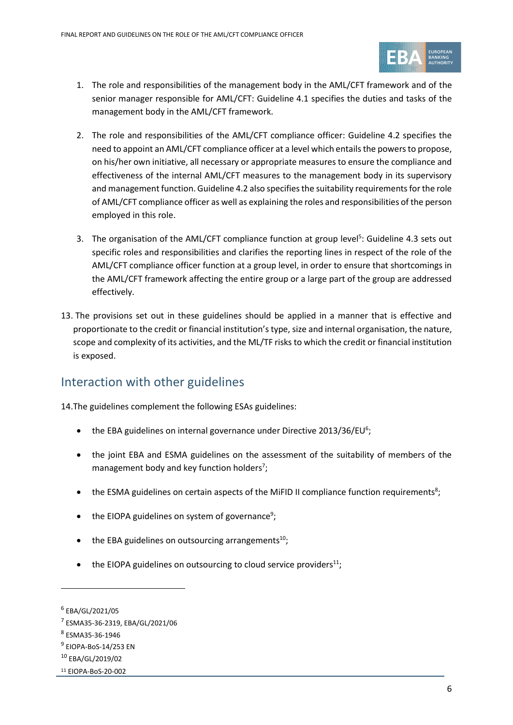

- 1. The role and responsibilities of the management body in the AML/CFT framework and of the senior manager responsible for AML/CFT: Guideline 4.1 specifies the duties and tasks of the management body in the AML/CFT framework.
- 2. The role and responsibilities of the AML/CFT compliance officer: Guideline 4.2 specifies the need to appoint an AML/CFT compliance officer at a level which entails the powers to propose, on his/her own initiative, all necessary or appropriate measures to ensure the compliance and effectiveness of the internal AML/CFT measures to the management body in its supervisory and management function. Guideline 4.2 also specifies the suitability requirements for the role of AML/CFT compliance officer as well as explaining the roles and responsibilities of the person employed in this role.
- 3. The organisation of the AML/CFT compliance function at group level<sup>5</sup>: Guideline 4.3 sets out specific roles and responsibilities and clarifies the reporting lines in respect of the role of the AML/CFT compliance officer function at a group level, in order to ensure that shortcomings in the AML/CFT framework affecting the entire group or a large part of the group are addressed effectively.
- 13. The provisions set out in these guidelines should be applied in a manner that is effective and proportionate to the credit or financial institution's type, size and internal organisation, the nature, scope and complexity of its activities, and the ML/TF risks to which the credit or financial institution is exposed.

### Interaction with other guidelines

14.The guidelines complement the following ESAs guidelines:

- the EBA guidelines on internal governance under Directive 2013/36/EU<sup>6</sup>;
- the joint EBA and ESMA guidelines on the assessment of the suitability of members of the management body and key function holders<sup>7</sup>;
- the ESMA guidelines on certain aspects of the MiFID II compliance function requirements<sup>8</sup>;
- the EIOPA guidelines on system of governance<sup>9</sup>;
- the EBA guidelines on outsourcing arrangements $^{10}$ ;
- $\bullet$  the EIOPA guidelines on outsourcing to cloud service providers<sup>11</sup>;

<sup>6</sup> EBA/GL/2021/05

<sup>7</sup> ESMA35-36-2319, EBA/GL/2021/06

<sup>8</sup> ESMA35-36-1946

<sup>&</sup>lt;sup>9</sup> EIOPA-BoS-14/253 EN

<sup>10</sup> EBA/GL/2019/02

<sup>11</sup> EIOPA-BoS-20-002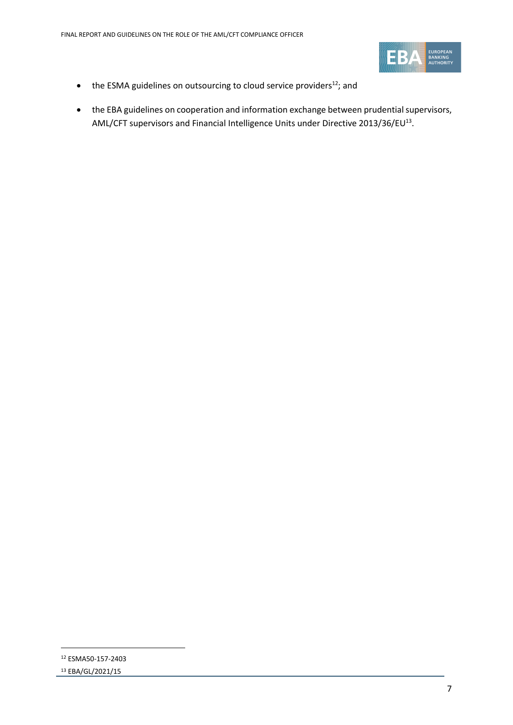

- $\bullet$  the ESMA guidelines on outsourcing to cloud service providers<sup>12</sup>; and
- the EBA guidelines on cooperation and information exchange between prudential supervisors, AML/CFT supervisors and Financial Intelligence Units under Directive 2013/36/EU<sup>13</sup>.

<sup>12</sup> ESMA50-157-2403

<sup>13</sup> EBA/GL/2021/15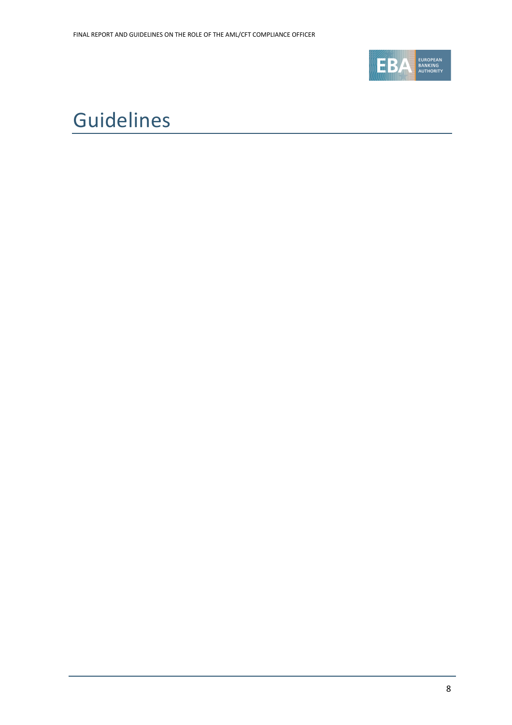

# <span id="page-7-0"></span>Guidelines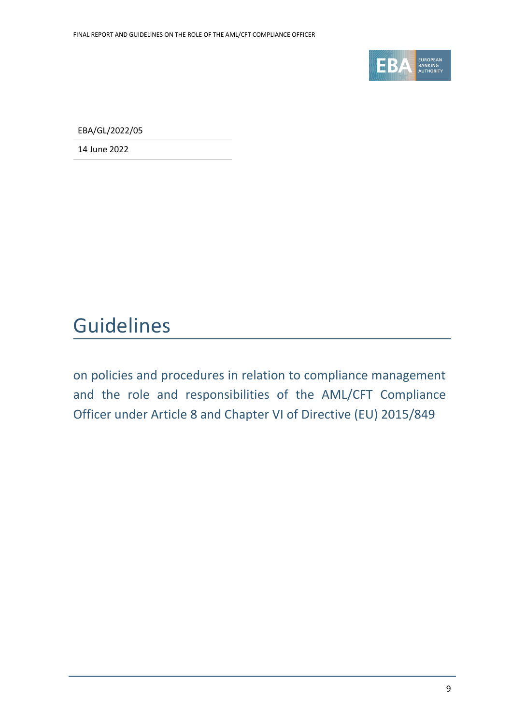

EBA/GL/2022/05

14 June 2022

# Guidelines

on policies and procedures in relation to compliance management and the role and responsibilities of the AML/CFT Compliance Officer under Article 8 and Chapter VI of Directive (EU) 2015/849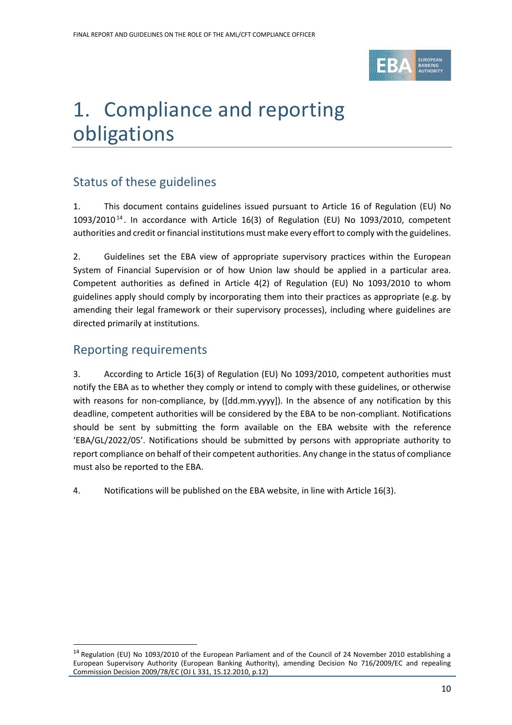

# 1. Compliance and reporting obligations

## Status of these guidelines

1. This document contains guidelines issued pursuant to Article 16 of Regulation (EU) No  $1093/2010^{14}$ . In accordance with Article 16(3) of Regulation (EU) No 1093/2010, competent authorities and credit or financial institutions must make every effort to comply with the guidelines.

2. Guidelines set the EBA view of appropriate supervisory practices within the European System of Financial Supervision or of how Union law should be applied in a particular area. Competent authorities as defined in Article 4(2) of Regulation (EU) No 1093/2010 to whom guidelines apply should comply by incorporating them into their practices as appropriate (e.g. by amending their legal framework or their supervisory processes), including where guidelines are directed primarily at institutions.

## Reporting requirements

3. According to Article 16(3) of Regulation (EU) No 1093/2010, competent authorities must notify the EBA as to whether they comply or intend to comply with these guidelines, or otherwise with reasons for non-compliance, by ([dd.mm.yyyy]). In the absence of any notification by this deadline, competent authorities will be considered by the EBA to be non-compliant. Notifications should be sent by submitting the form available on the EBA website with the reference 'EBA/GL/2022/05'. Notifications should be submitted by persons with appropriate authority to report compliance on behalf of their competent authorities. Any change in the status of compliance must also be reported to the EBA.

4. Notifications will be published on the EBA website, in line with Article 16(3).

<sup>&</sup>lt;sup>14</sup> Regulation (EU) No 1093/2010 of the European Parliament and of the Council of 24 November 2010 establishing a European Supervisory Authority (European Banking Authority), amending Decision No 716/2009/EC and repealing Commission Decision 2009/78/EC (OJ L 331, 15.12.2010, p.12)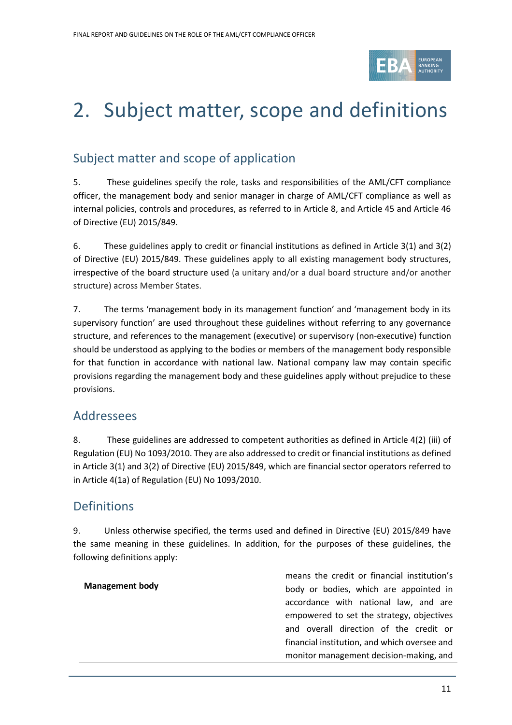

# 2. Subject matter, scope and definitions

## Subject matter and scope of application

5. These guidelines specify the role, tasks and responsibilities of the AML/CFT compliance officer, the management body and senior manager in charge of AML/CFT compliance as well as internal policies, controls and procedures, as referred to in Article 8, and Article 45 and Article 46 of Directive (EU) 2015/849.

6. These guidelines apply to credit or financial institutions as defined in Article 3(1) and 3(2) of Directive (EU) 2015/849. These guidelines apply to all existing management body structures, irrespective of the board structure used (a unitary and/or a dual board structure and/or another structure) across Member States.

7. The terms 'management body in its management function' and 'management body in its supervisory function' are used throughout these guidelines without referring to any governance structure, and references to the management (executive) or supervisory (non-executive) function should be understood as applying to the bodies or members of the management body responsible for that function in accordance with national law. National company law may contain specific provisions regarding the management body and these guidelines apply without prejudice to these provisions.

### Addressees

8. These guidelines are addressed to competent authorities as defined in Article 4(2) (iii) of Regulation (EU) No 1093/2010. They are also addressed to credit or financial institutions as defined in Article 3(1) and 3(2) of Directive (EU) 2015/849, which are financial sector operators referred to in Article 4(1a) of Regulation (EU) No 1093/2010.

## Definitions

9. Unless otherwise specified, the terms used and defined in Directive (EU) 2015/849 have the same meaning in these guidelines. In addition, for the purposes of these guidelines, the following definitions apply:

### **Management body**

means the credit or financial institution's body or bodies, which are appointed in accordance with national law, and are empowered to set the strategy, objectives and overall direction of the credit or financial institution, and which oversee and monitor management decision-making, and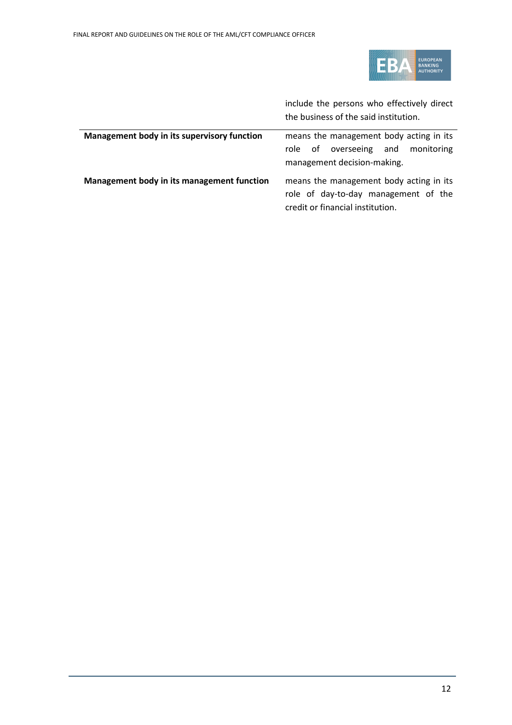

|                                             | include the persons who effectively direct<br>the business of the said institution.                                  |  |
|---------------------------------------------|----------------------------------------------------------------------------------------------------------------------|--|
| Management body in its supervisory function | means the management body acting in its<br>of overseeing<br>role<br>and<br>monitoring<br>management decision-making. |  |
| Management body in its management function  | means the management body acting in its<br>role of day-to-day management of the<br>credit or financial institution.  |  |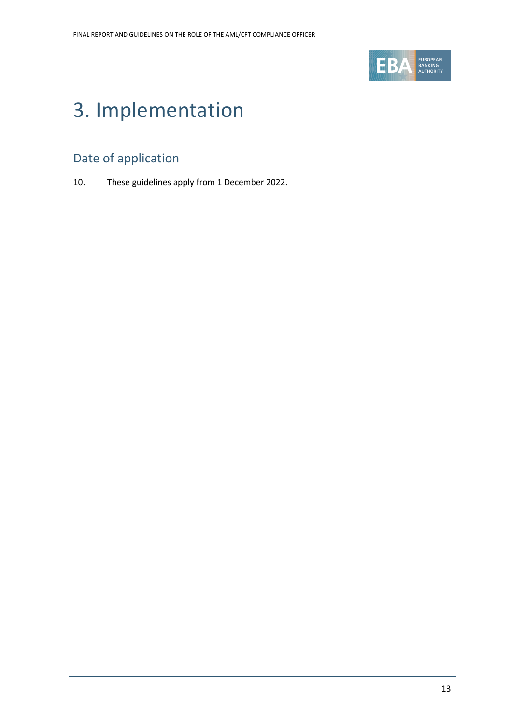

# 3. Implementation

## Date of application

10. These guidelines apply from 1 December 2022.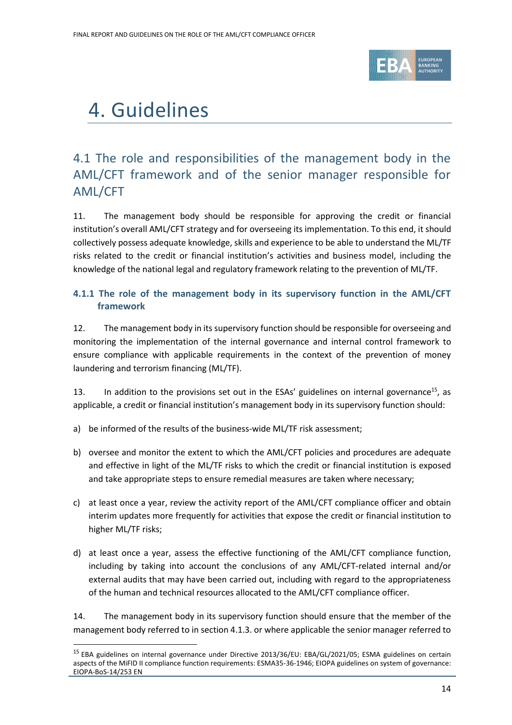

# <span id="page-13-0"></span>4. Guidelines

## <span id="page-13-1"></span>4.1 The role and responsibilities of the management body in the AML/CFT framework and of the senior manager responsible for AML/CFT

11. The management body should be responsible for approving the credit or financial institution's overall AML/CFT strategy and for overseeing its implementation. To this end, it should collectively possess adequate knowledge, skills and experience to be able to understand the ML/TF risks related to the credit or financial institution's activities and business model, including the knowledge of the national legal and regulatory framework relating to the prevention of ML/TF.

#### **4.1.1 The role of the management body in its supervisory function in the AML/CFT framework**

12. The management body in its supervisory function should be responsible for overseeing and monitoring the implementation of the internal governance and internal control framework to ensure compliance with applicable requirements in the context of the prevention of money laundering and terrorism financing (ML/TF).

13. In addition to the provisions set out in the ESAs' guidelines on internal governance<sup>15</sup>, as applicable, a credit or financial institution's management body in its supervisory function should:

- a) be informed of the results of the business-wide ML/TF risk assessment;
- b) oversee and monitor the extent to which the AML/CFT policies and procedures are adequate and effective in light of the ML/TF risks to which the credit or financial institution is exposed and take appropriate steps to ensure remedial measures are taken where necessary;
- c) at least once a year, review the activity report of the AML/CFT compliance officer and obtain interim updates more frequently for activities that expose the credit or financial institution to higher ML/TF risks;
- d) at least once a year, assess the effective functioning of the AML/CFT compliance function, including by taking into account the conclusions of any AML/CFT-related internal and/or external audits that may have been carried out, including with regard to the appropriateness of the human and technical resources allocated to the AML/CFT compliance officer.

14. The management body in its supervisory function should ensure that the member of the management body referred to in section 4.1.3. or where applicable the senior manager referred to

<sup>15</sup> EBA guidelines on internal governance under Directive 2013/36/EU: EBA/GL/2021/05; ESMA guidelines on certain aspects of the MiFID II compliance function requirements: ESMA35-36-1946; EIOPA guidelines on system of governance: EIOPA-BoS-14/253 EN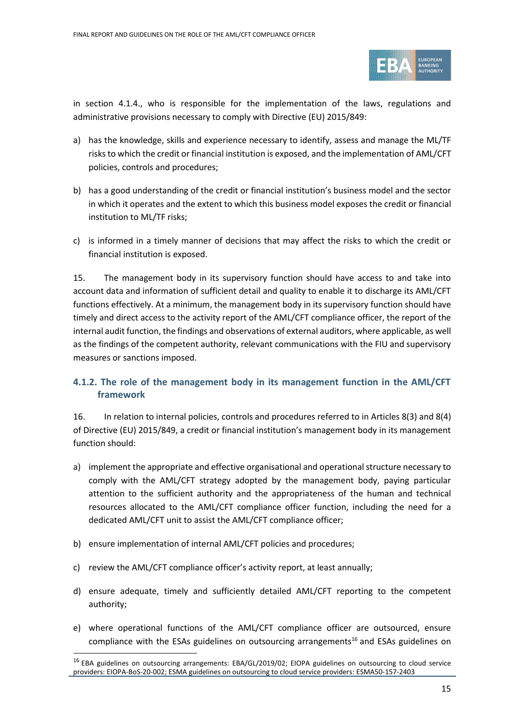

in section 4.1.4., who is responsible for the implementation of the laws, regulations and administrative provisions necessary to comply with Directive (EU) 2015/849:

- a) has the knowledge, skills and experience necessary to identify, assess and manage the ML/TF risksto which the credit or financial institution is exposed, and the implementation of AML/CFT policies, controls and procedures;
- b) has a good understanding of the credit or financial institution's business model and the sector in which it operates and the extent to which this business model exposes the credit or financial institution to ML/TF risks;
- c) is informed in a timely manner of decisions that may affect the risks to which the credit or financial institution is exposed.

15. The management body in its supervisory function should have access to and take into account data and information of sufficient detail and quality to enable it to discharge its AML/CFT functions effectively. At a minimum, the management body in its supervisory function should have timely and direct access to the activity report of the AML/CFT compliance officer, the report of the internal audit function, the findings and observations of external auditors, where applicable, as well as the findings of the competent authority, relevant communications with the FIU and supervisory measures or sanctions imposed.

#### **4.1.2. The role of the management body in its management function in the AML/CFT framework**

16. In relation to internal policies, controls and procedures referred to in Articles 8(3) and 8(4) of Directive (EU) 2015/849, a credit or financial institution's management body in its management function should:

- a) implement the appropriate and effective organisational and operational structure necessary to comply with the AML/CFT strategy adopted by the management body, paying particular attention to the sufficient authority and the appropriateness of the human and technical resources allocated to the AML/CFT compliance officer function, including the need for a dedicated AML/CFT unit to assist the AML/CFT compliance officer;
- b) ensure implementation of internal AML/CFT policies and procedures;
- c) review the AML/CFT compliance officer's activity report, at least annually;
- d) ensure adequate, timely and sufficiently detailed AML/CFT reporting to the competent authority;
- e) where operational functions of the AML/CFT compliance officer are outsourced, ensure compliance with the ESAs guidelines on outsourcing arrangements<sup>16</sup> and ESAs guidelines on

<sup>&</sup>lt;sup>16</sup> EBA guidelines on outsourcing arrangements: EBA/GL/2019/02; EIOPA guidelines on outsourcing to cloud service providers: EIOPA-BoS-20-002; ESMA guidelines on outsourcing to cloud service providers: ESMA50-157-2403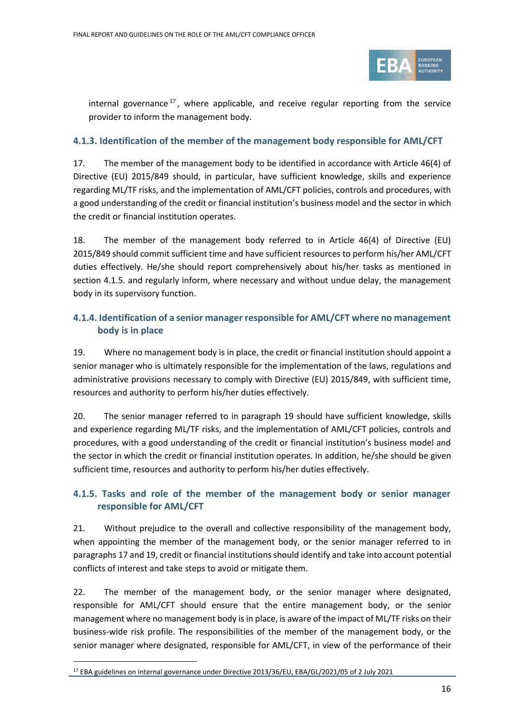

internal governance  $17$ , where applicable, and receive regular reporting from the service provider to inform the management body.

#### **4.1.3. Identification of the member of the management body responsible for AML/CFT**

17. The member of the management body to be identified in accordance with Article 46(4) of Directive (EU) 2015/849 should, in particular, have sufficient knowledge, skills and experience regarding ML/TF risks, and the implementation of AML/CFT policies, controls and procedures, with a good understanding of the credit or financial institution's business model and the sector in which the credit or financial institution operates.

18. The member of the management body referred to in Article 46(4) of Directive (EU) 2015/849 should commit sufficient time and have sufficient resources to perform his/her AML/CFT duties effectively. He/she should report comprehensively about his/her tasks as mentioned in section 4.1.5. and regularly inform, where necessary and without undue delay, the management body in its supervisory function.

#### **4.1.4. Identification of a senior manager responsible for AML/CFT where no management body is in place**

19. Where no management body is in place, the credit or financial institution should appoint a senior manager who is ultimately responsible for the implementation of the laws, regulations and administrative provisions necessary to comply with Directive (EU) 2015/849, with sufficient time, resources and authority to perform his/her duties effectively.

20. The senior manager referred to in paragraph 19 should have sufficient knowledge, skills and experience regarding ML/TF risks, and the implementation of AML/CFT policies, controls and procedures, with a good understanding of the credit or financial institution's business model and the sector in which the credit or financial institution operates. In addition, he/she should be given sufficient time, resources and authority to perform his/her duties effectively.

#### **4.1.5. Tasks and role of the member of the management body or senior manager responsible for AML/CFT**

21. Without prejudice to the overall and collective responsibility of the management body, when appointing the member of the management body, or the senior manager referred to in paragraphs 17 and 19, credit or financial institutions should identify and take into account potential conflicts of interest and take steps to avoid or mitigate them.

22. The member of the management body, or the senior manager where designated, responsible for AML/CFT should ensure that the entire management body, or the senior management where no management body is in place, is aware of the impact of ML/TF risks on their business-wide risk profile. The responsibilities of the member of the management body, or the senior manager where designated, responsible for AML/CFT, in view of the performance of their

<sup>17</sup> EBA guidelines on internal governance under Directive 2013/36/EU, EBA/GL/2021/05 of 2 July 2021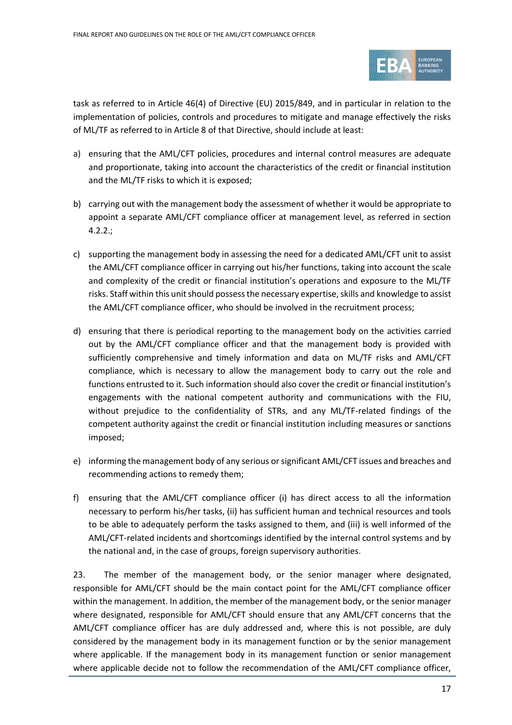

task as referred to in Article 46(4) of Directive (EU) 2015/849, and in particular in relation to the implementation of policies, controls and procedures to mitigate and manage effectively the risks of ML/TF as referred to in Article 8 of that Directive, should include at least:

- a) ensuring that the AML/CFT policies, procedures and internal control measures are adequate and proportionate, taking into account the characteristics of the credit or financial institution and the ML/TF risks to which it is exposed;
- b) carrying out with the management body the assessment of whether it would be appropriate to appoint a separate AML/CFT compliance officer at management level, as referred in section 4.2.2.;
- c) supporting the management body in assessing the need for a dedicated AML/CFT unit to assist the AML/CFT compliance officer in carrying out his/her functions, taking into account the scale and complexity of the credit or financial institution's operations and exposure to the ML/TF risks. Staff within this unit should possess the necessary expertise, skills and knowledge to assist the AML/CFT compliance officer, who should be involved in the recruitment process;
- d) ensuring that there is periodical reporting to the management body on the activities carried out by the AML/CFT compliance officer and that the management body is provided with sufficiently comprehensive and timely information and data on ML/TF risks and AML/CFT compliance, which is necessary to allow the management body to carry out the role and functions entrusted to it. Such information should also cover the credit or financial institution's engagements with the national competent authority and communications with the FIU, without prejudice to the confidentiality of STRs, and any ML/TF-related findings of the competent authority against the credit or financial institution including measures or sanctions imposed;
- e) informing the management body of any serious or significant AML/CFT issues and breaches and recommending actions to remedy them;
- f) ensuring that the AML/CFT compliance officer (i) has direct access to all the information necessary to perform his/her tasks, (ii) has sufficient human and technical resources and tools to be able to adequately perform the tasks assigned to them, and (iii) is well informed of the AML/CFT-related incidents and shortcomings identified by the internal control systems and by the national and, in the case of groups, foreign supervisory authorities.

23. The member of the management body, or the senior manager where designated, responsible for AML/CFT should be the main contact point for the AML/CFT compliance officer within the management. In addition, the member of the management body, or the senior manager where designated, responsible for AML/CFT should ensure that any AML/CFT concerns that the AML/CFT compliance officer has are duly addressed and, where this is not possible, are duly considered by the management body in its management function or by the senior management where applicable. If the management body in its management function or senior management where applicable decide not to follow the recommendation of the AML/CFT compliance officer,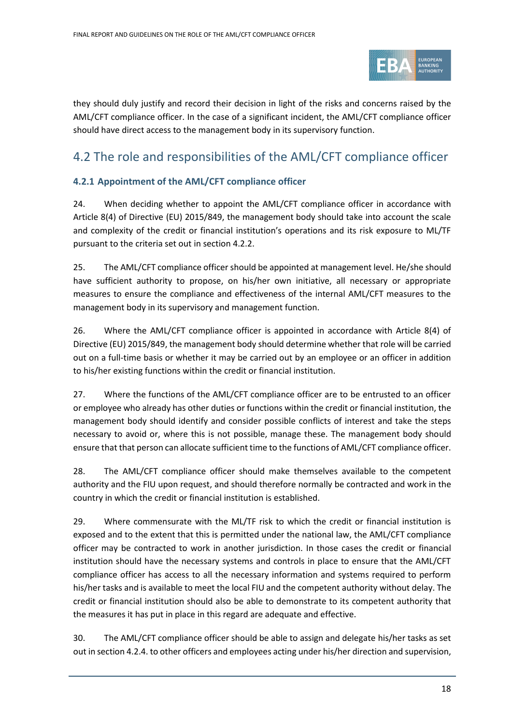

they should duly justify and record their decision in light of the risks and concerns raised by the AML/CFT compliance officer. In the case of a significant incident, the AML/CFT compliance officer should have direct access to the management body in its supervisory function.

## <span id="page-17-0"></span>4.2 The role and responsibilities of the AML/CFT compliance officer

### **4.2.1 Appointment of the AML/CFT compliance officer**

24. When deciding whether to appoint the AML/CFT compliance officer in accordance with Article 8(4) of Directive (EU) 2015/849, the management body should take into account the scale and complexity of the credit or financial institution's operations and its risk exposure to ML/TF pursuant to the criteria set out in section 4.2.2.

25. The AML/CFT compliance officer should be appointed at management level. He/she should have sufficient authority to propose, on his/her own initiative, all necessary or appropriate measures to ensure the compliance and effectiveness of the internal AML/CFT measures to the management body in its supervisory and management function.

26. Where the AML/CFT compliance officer is appointed in accordance with Article 8(4) of Directive (EU) 2015/849, the management body should determine whether that role will be carried out on a full-time basis or whether it may be carried out by an employee or an officer in addition to his/her existing functions within the credit or financial institution.

27. Where the functions of the AML/CFT compliance officer are to be entrusted to an officer or employee who already has other duties or functions within the credit or financial institution, the management body should identify and consider possible conflicts of interest and take the steps necessary to avoid or, where this is not possible, manage these. The management body should ensure that that person can allocate sufficient time to the functions of AML/CFT compliance officer.

28. The AML/CFT compliance officer should make themselves available to the competent authority and the FIU upon request, and should therefore normally be contracted and work in the country in which the credit or financial institution is established.

29. Where commensurate with the ML/TF risk to which the credit or financial institution is exposed and to the extent that this is permitted under the national law, the AML/CFT compliance officer may be contracted to work in another jurisdiction. In those cases the credit or financial institution should have the necessary systems and controls in place to ensure that the AML/CFT compliance officer has access to all the necessary information and systems required to perform his/her tasks and is available to meet the local FIU and the competent authority without delay. The credit or financial institution should also be able to demonstrate to its competent authority that the measures it has put in place in this regard are adequate and effective.

30. The AML/CFT compliance officer should be able to assign and delegate his/her tasks as set out in section 4.2.4. to other officers and employees acting under his/her direction and supervision,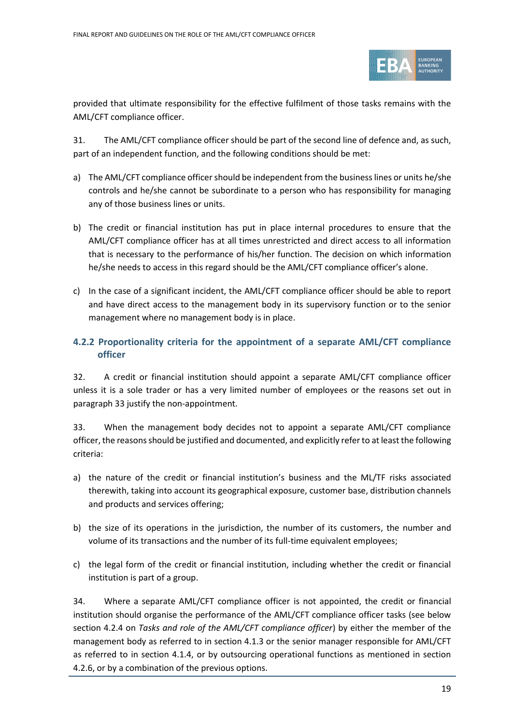

provided that ultimate responsibility for the effective fulfilment of those tasks remains with the AML/CFT compliance officer.

31. The AML/CFT compliance officer should be part of the second line of defence and, as such, part of an independent function, and the following conditions should be met:

- a) The AML/CFT compliance officer should be independent from the business lines or units he/she controls and he/she cannot be subordinate to a person who has responsibility for managing any of those business lines or units.
- b) The credit or financial institution has put in place internal procedures to ensure that the AML/CFT compliance officer has at all times unrestricted and direct access to all information that is necessary to the performance of his/her function. The decision on which information he/she needs to access in this regard should be the AML/CFT compliance officer's alone.
- c) In the case of a significant incident, the AML/CFT compliance officer should be able to report and have direct access to the management body in its supervisory function or to the senior management where no management body is in place.

#### **4.2.2 Proportionality criteria for the appointment of a separate AML/CFT compliance officer**

32. A credit or financial institution should appoint a separate AML/CFT compliance officer unless it is a sole trader or has a very limited number of employees or the reasons set out in paragraph 33 justify the non-appointment.

33. When the management body decides not to appoint a separate AML/CFT compliance officer, the reasons should be justified and documented, and explicitly refer to at least the following criteria:

- a) the nature of the credit or financial institution's business and the ML/TF risks associated therewith, taking into account its geographical exposure, customer base, distribution channels and products and services offering;
- b) the size of its operations in the jurisdiction, the number of its customers, the number and volume of its transactions and the number of its full-time equivalent employees;
- c) the legal form of the credit or financial institution, including whether the credit or financial institution is part of a group.

34. Where a separate AML/CFT compliance officer is not appointed, the credit or financial institution should organise the performance of the AML/CFT compliance officer tasks (see below section 4.2.4 on *Tasks and role of the AML/CFT compliance officer*) by either the member of the management body as referred to in section 4.1.3 or the senior manager responsible for AML/CFT as referred to in section 4.1.4, or by outsourcing operational functions as mentioned in section 4.2.6, or by a combination of the previous options.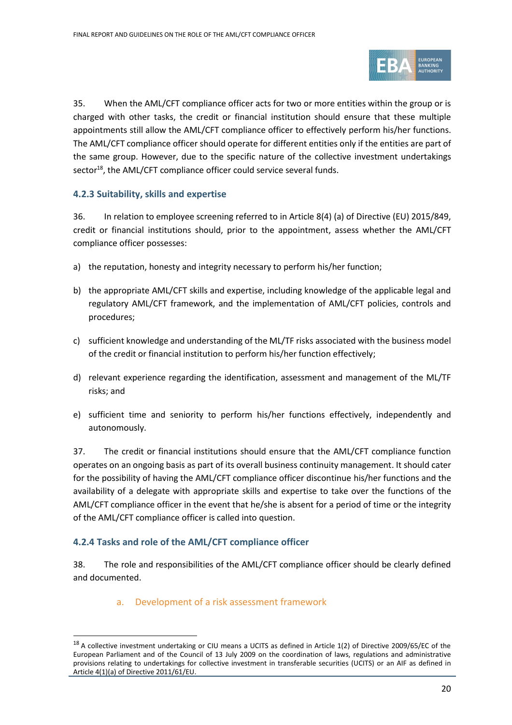

35. When the AML/CFT compliance officer acts for two or more entities within the group or is charged with other tasks, the credit or financial institution should ensure that these multiple appointments still allow the AML/CFT compliance officer to effectively perform his/her functions. The AML/CFT compliance officer should operate for different entities only if the entities are part of the same group. However, due to the specific nature of the collective investment undertakings sector<sup>18</sup>, the AML/CFT compliance officer could service several funds.

#### **4.2.3 Suitability, skills and expertise**

36. In relation to employee screening referred to in Article 8(4) (a) of Directive (EU) 2015/849, credit or financial institutions should, prior to the appointment, assess whether the AML/CFT compliance officer possesses:

- a) the reputation, honesty and integrity necessary to perform his/her function;
- b) the appropriate AML/CFT skills and expertise, including knowledge of the applicable legal and regulatory AML/CFT framework, and the implementation of AML/CFT policies, controls and procedures;
- c) sufficient knowledge and understanding of the ML/TF risks associated with the business model of the credit or financial institution to perform his/her function effectively;
- d) relevant experience regarding the identification, assessment and management of the ML/TF risks; and
- e) sufficient time and seniority to perform his/her functions effectively, independently and autonomously.

37. The credit or financial institutions should ensure that the AML/CFT compliance function operates on an ongoing basis as part of its overall business continuity management. It should cater for the possibility of having the AML/CFT compliance officer discontinue his/her functions and the availability of a delegate with appropriate skills and expertise to take over the functions of the AML/CFT compliance officer in the event that he/she is absent for a period of time or the integrity of the AML/CFT compliance officer is called into question.

#### **4.2.4 Tasks and role of the AML/CFT compliance officer**

38. The role and responsibilities of the AML/CFT compliance officer should be clearly defined and documented.

a. Development of a risk assessment framework

 $18$  A collective investment undertaking or CIU means a UCITS as defined in Article 1(2) of Directive 2009/65/EC of the European Parliament and of the Council of 13 July 2009 on the coordination of laws, regulations and administrative provisions relating to undertakings for collective investment in transferable securities (UCITS) or an AIF as defined in Article 4(1)(a) of Directive 2011/61/EU.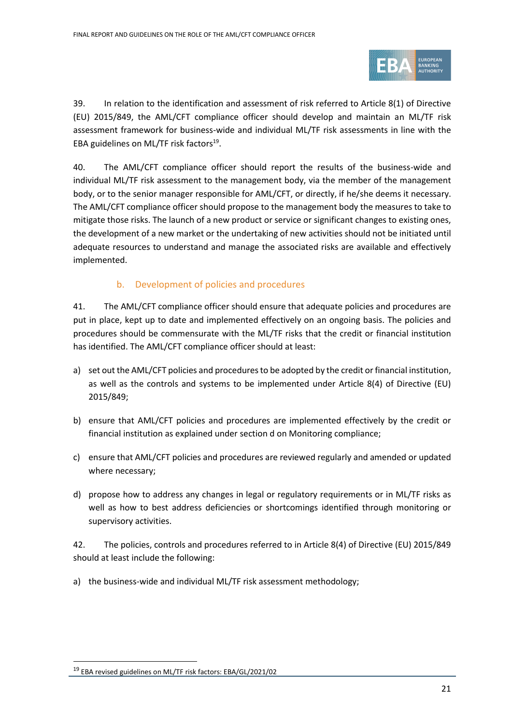

39. In relation to the identification and assessment of risk referred to Article 8(1) of Directive (EU) 2015/849, the AML/CFT compliance officer should develop and maintain an ML/TF risk assessment framework for business-wide and individual ML/TF risk assessments in line with the EBA guidelines on ML/TF risk factors<sup>19</sup>.

40. The AML/CFT compliance officer should report the results of the business-wide and individual ML/TF risk assessment to the management body, via the member of the management body, or to the senior manager responsible for AML/CFT, or directly, if he/she deems it necessary. The AML/CFT compliance officer should propose to the management body the measures to take to mitigate those risks. The launch of a new product or service or significant changes to existing ones, the development of a new market or the undertaking of new activities should not be initiated until adequate resources to understand and manage the associated risks are available and effectively implemented.

#### b. Development of policies and procedures

41. The AML/CFT compliance officer should ensure that adequate policies and procedures are put in place, kept up to date and implemented effectively on an ongoing basis. The policies and procedures should be commensurate with the ML/TF risks that the credit or financial institution has identified. The AML/CFT compliance officer should at least:

- a) set out the AML/CFT policies and procedures to be adopted by the credit or financial institution, as well as the controls and systems to be implemented under Article 8(4) of Directive (EU) 2015/849;
- b) ensure that AML/CFT policies and procedures are implemented effectively by the credit or financial institution as explained under section d on Monitoring compliance;
- c) ensure that AML/CFT policies and procedures are reviewed regularly and amended or updated where necessary;
- d) propose how to address any changes in legal or regulatory requirements or in ML/TF risks as well as how to best address deficiencies or shortcomings identified through monitoring or supervisory activities.

42. The policies, controls and procedures referred to in Article 8(4) of Directive (EU) 2015/849 should at least include the following:

a) the business-wide and individual ML/TF risk assessment methodology;

<sup>19</sup> EBA revised guidelines on ML/TF risk factors: EBA/GL/2021/02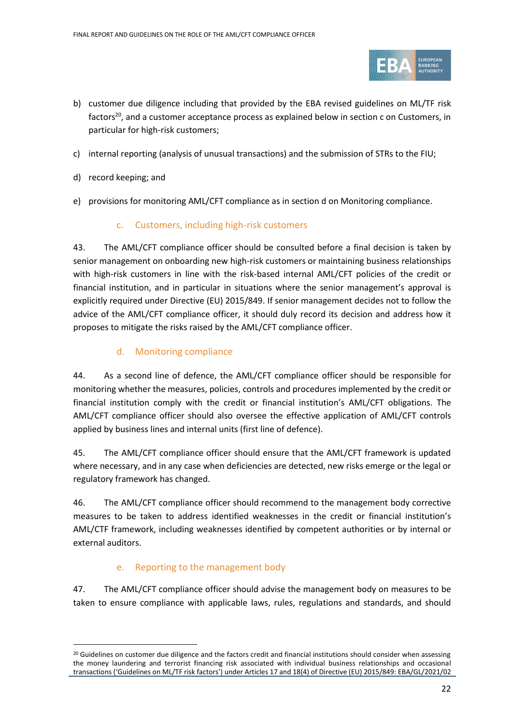

- b) customer due diligence including that provided by the EBA revised guidelines on ML/TF risk factors<sup>20</sup>, and a customer acceptance process as explained below in section c on Customers, in particular for high-risk customers;
- c) internal reporting (analysis of unusual transactions) and the submission of STRs to the FIU;
- d) record keeping; and
- e) provisions for monitoring AML/CFT compliance as in section d on Monitoring compliance.

#### c. Customers, including high-risk customers

43. The AML/CFT compliance officer should be consulted before a final decision is taken by senior management on onboarding new high-risk customers or maintaining business relationships with high-risk customers in line with the risk-based internal AML/CFT policies of the credit or financial institution, and in particular in situations where the senior management's approval is explicitly required under Directive (EU) 2015/849. If senior management decides not to follow the advice of the AML/CFT compliance officer, it should duly record its decision and address how it proposes to mitigate the risks raised by the AML/CFT compliance officer.

#### d. Monitoring compliance

44. As a second line of defence, the AML/CFT compliance officer should be responsible for monitoring whether the measures, policies, controls and procedures implemented by the credit or financial institution comply with the credit or financial institution's AML/CFT obligations. The AML/CFT compliance officer should also oversee the effective application of AML/CFT controls applied by business lines and internal units (first line of defence).

45. The AML/CFT compliance officer should ensure that the AML/CFT framework is updated where necessary, and in any case when deficiencies are detected, new risks emerge or the legal or regulatory framework has changed.

46. The AML/CFT compliance officer should recommend to the management body corrective measures to be taken to address identified weaknesses in the credit or financial institution's AML/CTF framework, including weaknesses identified by competent authorities or by internal or external auditors.

#### Reporting to the management body

47. The AML/CFT compliance officer should advise the management body on measures to be taken to ensure compliance with applicable laws, rules, regulations and standards, and should

<sup>&</sup>lt;sup>20</sup> Guidelines on customer due diligence and the factors credit and financial institutions should consider when assessing the money laundering and terrorist financing risk associated with individual business relationships and occasional transactions ('Guidelines on ML/TF risk factors') under Articles 17 and 18(4) of Directive (EU) 2015/849: EBA/GL/2021/02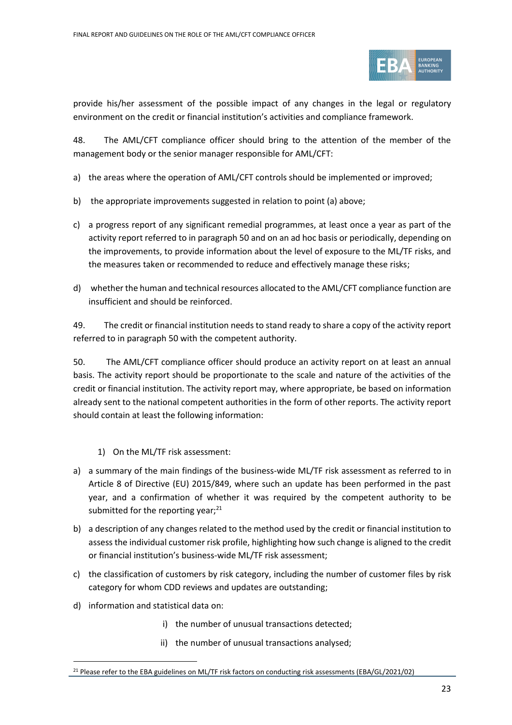

provide his/her assessment of the possible impact of any changes in the legal or regulatory environment on the credit or financial institution's activities and compliance framework.

48. The AML/CFT compliance officer should bring to the attention of the member of the management body or the senior manager responsible for AML/CFT:

- a) the areas where the operation of AML/CFT controls should be implemented or improved;
- b) the appropriate improvements suggested in relation to point (a) above;
- c) a progress report of any significant remedial programmes, at least once a year as part of the activity report referred to in paragraph 50 and on an ad hoc basis or periodically, depending on the improvements, to provide information about the level of exposure to the ML/TF risks, and the measures taken or recommended to reduce and effectively manage these risks;
- d) whether the human and technical resources allocated to the AML/CFT compliance function are insufficient and should be reinforced.

49. The credit or financial institution needs to stand ready to share a copy of the activity report referred to in paragraph 50 with the competent authority.

50. The AML/CFT compliance officer should produce an activity report on at least an annual basis. The activity report should be proportionate to the scale and nature of the activities of the credit or financial institution. The activity report may, where appropriate, be based on information already sent to the national competent authorities in the form of other reports. The activity report should contain at least the following information:

- 1) On the ML/TF risk assessment:
- a) a summary of the main findings of the business-wide ML/TF risk assessment as referred to in Article 8 of Directive (EU) 2015/849, where such an update has been performed in the past year, and a confirmation of whether it was required by the competent authority to be submitted for the reporting year; $^{21}$
- b) a description of any changes related to the method used by the credit or financial institution to assess the individual customer risk profile, highlighting how such change is aligned to the credit or financial institution's business-wide ML/TF risk assessment;
- c) the classification of customers by risk category, including the number of customer files by risk category for whom CDD reviews and updates are outstanding;
- d) information and statistical data on:
	- i) the number of unusual transactions detected;
	- ii) the number of unusual transactions analysed;

<sup>21</sup> Please refer to the EBA guidelines on ML/TF risk factors on conducting risk assessments (EBA/GL/2021/02)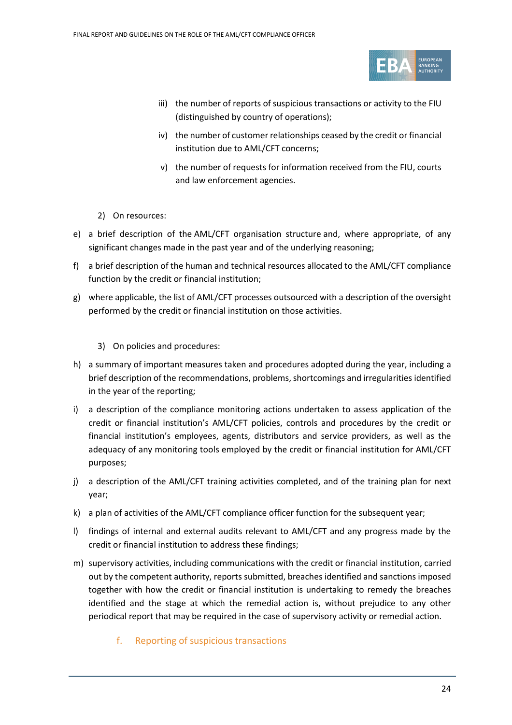

- iii) the number of reports of suspicious transactions or activity to the FIU (distinguished by country of operations);
- iv) the number of customer relationships ceased by the credit or financial institution due to AML/CFT concerns;
- v) the number of requests for information received from the FIU, courts and law enforcement agencies.
- 2) On resources:
- e) a brief description of the AML/CFT organisation structure and, where appropriate, of any significant changes made in the past year and of the underlying reasoning;
- f) a brief description of the human and technical resources allocated to the AML/CFT compliance function by the credit or financial institution;
- g) where applicable, the list of AML/CFT processes outsourced with a description of the oversight performed by the credit or financial institution on those activities.

3) On policies and procedures:

- h) a summary of important measures taken and procedures adopted during the year, including a brief description of the recommendations, problems, shortcomings and irregularities identified in the year of the reporting;
- i) a description of the compliance monitoring actions undertaken to assess application of the credit or financial institution's AML/CFT policies, controls and procedures by the credit or financial institution's employees, agents, distributors and service providers, as well as the adequacy of any monitoring tools employed by the credit or financial institution for AML/CFT purposes;
- j) a description of the AML/CFT training activities completed, and of the training plan for next year;
- k) a plan of activities of the AML/CFT compliance officer function for the subsequent year;
- l) findings of internal and external audits relevant to AML/CFT and any progress made by the credit or financial institution to address these findings;
- m) supervisory activities, including communications with the credit or financial institution, carried out by the competent authority, reports submitted, breaches identified and sanctions imposed together with how the credit or financial institution is undertaking to remedy the breaches identified and the stage at which the remedial action is, without prejudice to any other periodical report that may be required in the case of supervisory activity or remedial action.
	- f. Reporting of suspicious transactions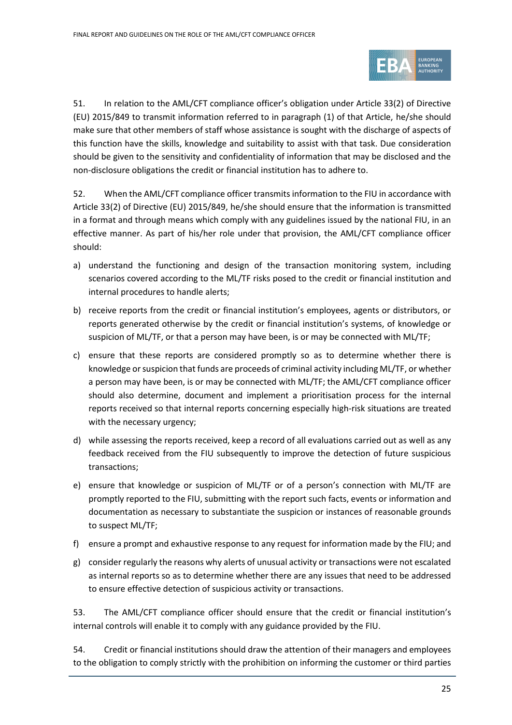

51. In relation to the AML/CFT compliance officer's obligation under Article 33(2) of Directive (EU) 2015/849 to transmit information referred to in paragraph (1) of that Article, he/she should make sure that other members of staff whose assistance is sought with the discharge of aspects of this function have the skills, knowledge and suitability to assist with that task. Due consideration should be given to the sensitivity and confidentiality of information that may be disclosed and the non-disclosure obligations the credit or financial institution has to adhere to.

52. When the AML/CFT compliance officer transmits information to the FIU in accordance with Article 33(2) of Directive (EU) 2015/849, he/she should ensure that the information is transmitted in a format and through means which comply with any guidelines issued by the national FIU, in an effective manner. As part of his/her role under that provision, the AML/CFT compliance officer should:

- a) understand the functioning and design of the transaction monitoring system, including scenarios covered according to the ML/TF risks posed to the credit or financial institution and internal procedures to handle alerts;
- b) receive reports from the credit or financial institution's employees, agents or distributors, or reports generated otherwise by the credit or financial institution's systems, of knowledge or suspicion of ML/TF, or that a person may have been, is or may be connected with ML/TF;
- c) ensure that these reports are considered promptly so as to determine whether there is knowledge or suspicion that funds are proceeds of criminal activity including ML/TF, or whether a person may have been, is or may be connected with ML/TF; the AML/CFT compliance officer should also determine, document and implement a prioritisation process for the internal reports received so that internal reports concerning especially high-risk situations are treated with the necessary urgency;
- d) while assessing the reports received, keep a record of all evaluations carried out as well as any feedback received from the FIU subsequently to improve the detection of future suspicious transactions;
- e) ensure that knowledge or suspicion of ML/TF or of a person's connection with ML/TF are promptly reported to the FIU, submitting with the report such facts, events or information and documentation as necessary to substantiate the suspicion or instances of reasonable grounds to suspect ML/TF;
- f) ensure a prompt and exhaustive response to any request for information made by the FIU; and
- g) consider regularly the reasons why alerts of unusual activity or transactions were not escalated as internal reports so as to determine whether there are any issues that need to be addressed to ensure effective detection of suspicious activity or transactions.

53. The AML/CFT compliance officer should ensure that the credit or financial institution's internal controls will enable it to comply with any guidance provided by the FIU.

54. Credit or financial institutions should draw the attention of their managers and employees to the obligation to comply strictly with the prohibition on informing the customer or third parties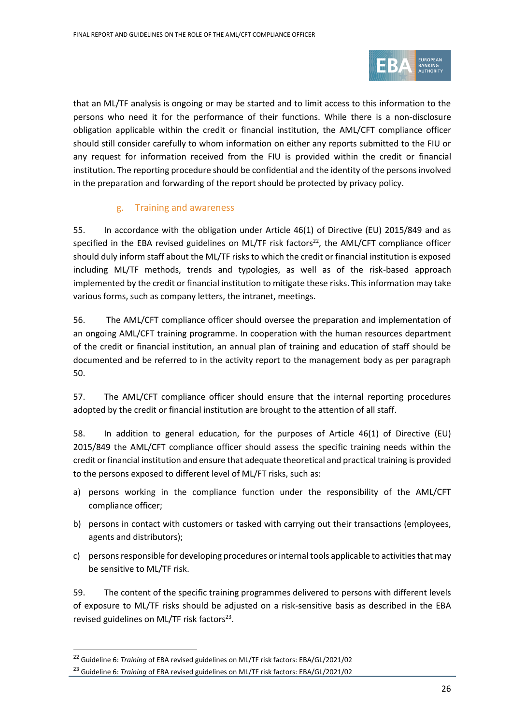

that an ML/TF analysis is ongoing or may be started and to limit access to this information to the persons who need it for the performance of their functions. While there is a non-disclosure obligation applicable within the credit or financial institution, the AML/CFT compliance officer should still consider carefully to whom information on either any reports submitted to the FIU or any request for information received from the FIU is provided within the credit or financial institution. The reporting procedure should be confidential and the identity of the persons involved in the preparation and forwarding of the report should be protected by privacy policy.

#### g. Training and awareness

55. In accordance with the obligation under Article 46(1) of Directive (EU) 2015/849 and as specified in the EBA revised guidelines on ML/TF risk factors $^{22}$ , the AML/CFT compliance officer should duly inform staff about the ML/TF risks to which the credit or financial institution is exposed including ML/TF methods, trends and typologies, as well as of the risk-based approach implemented by the credit or financial institution to mitigate these risks. This information may take various forms, such as company letters, the intranet, meetings.

56. The AML/CFT compliance officer should oversee the preparation and implementation of an ongoing AML/CFT training programme. In cooperation with the human resources department of the credit or financial institution, an annual plan of training and education of staff should be documented and be referred to in the activity report to the management body as per paragraph 50.

57. The AML/CFT compliance officer should ensure that the internal reporting procedures adopted by the credit or financial institution are brought to the attention of all staff.

58. In addition to general education, for the purposes of Article 46(1) of Directive (EU) 2015/849 the AML/CFT compliance officer should assess the specific training needs within the credit or financial institution and ensure that adequate theoretical and practical training is provided to the persons exposed to different level of ML/FT risks, such as:

- a) persons working in the compliance function under the responsibility of the AML/CFT compliance officer;
- b) persons in contact with customers or tasked with carrying out their transactions (employees, agents and distributors);
- c) persons responsible for developing procedures or internal tools applicable to activities that may be sensitive to ML/TF risk.

59. The content of the specific training programmes delivered to persons with different levels of exposure to ML/TF risks should be adjusted on a risk-sensitive basis as described in the EBA revised guidelines on ML/TF risk factors<sup>23</sup>.

<sup>22</sup> Guideline 6: *Training* of EBA revised guidelines on ML/TF risk factors: EBA/GL/2021/02

<sup>&</sup>lt;sup>23</sup> Guideline 6: *Training* of EBA revised guidelines on ML/TF risk factors: EBA/GL/2021/02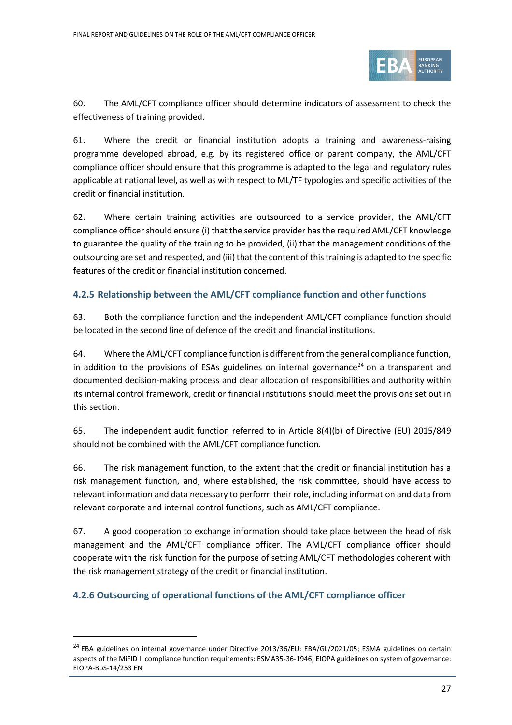

60. The AML/CFT compliance officer should determine indicators of assessment to check the effectiveness of training provided.

61. Where the credit or financial institution adopts a training and awareness-raising programme developed abroad, e.g. by its registered office or parent company, the AML/CFT compliance officer should ensure that this programme is adapted to the legal and regulatory rules applicable at national level, as well as with respect to ML/TF typologies and specific activities of the credit or financial institution.

62. Where certain training activities are outsourced to a service provider, the AML/CFT compliance officer should ensure (i) that the service provider has the required AML/CFT knowledge to guarantee the quality of the training to be provided, (ii) that the management conditions of the outsourcing are set and respected, and (iii) that the content of this training is adapted to the specific features of the credit or financial institution concerned.

#### **4.2.5 Relationship between the AML/CFT compliance function and other functions**

63. Both the compliance function and the independent AML/CFT compliance function should be located in the second line of defence of the credit and financial institutions.

64. Where the AML/CFT compliance function is different from the general compliance function, in addition to the provisions of ESAs guidelines on internal governance<sup>24</sup> on a transparent and documented decision-making process and clear allocation of responsibilities and authority within its internal control framework, credit or financial institutions should meet the provisions set out in this section.

65. The independent audit function referred to in Article 8(4)(b) of Directive (EU) 2015/849 should not be combined with the AML/CFT compliance function.

66. The risk management function, to the extent that the credit or financial institution has a risk management function, and, where established, the risk committee, should have access to relevant information and data necessary to perform their role, including information and data from relevant corporate and internal control functions, such as AML/CFT compliance.

67. A good cooperation to exchange information should take place between the head of risk management and the AML/CFT compliance officer. The AML/CFT compliance officer should cooperate with the risk function for the purpose of setting AML/CFT methodologies coherent with the risk management strategy of the credit or financial institution.

#### **4.2.6 Outsourcing of operational functions of the AML/CFT compliance officer**

<sup>&</sup>lt;sup>24</sup> EBA guidelines on internal governance under Directive 2013/36/EU: EBA/GL/2021/05; ESMA guidelines on certain aspects of the MiFID II compliance function requirements: ESMA35-36-1946; EIOPA guidelines on system of governance: EIOPA-BoS-14/253 EN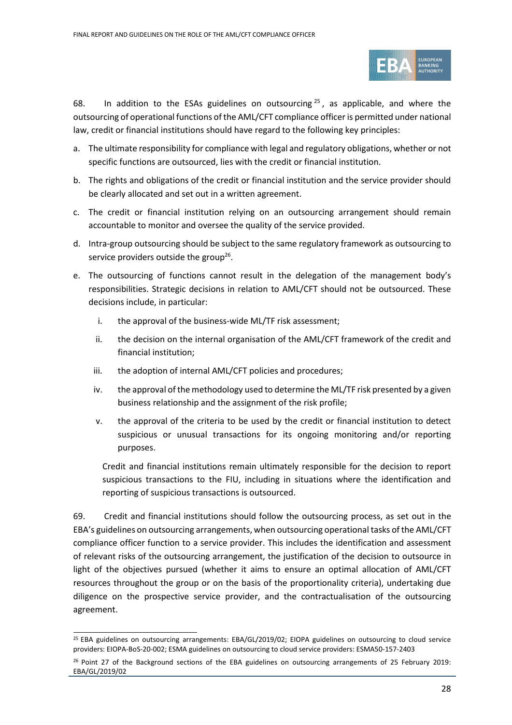

68. In addition to the ESAs guidelines on outsourcing  $25$ , as applicable, and where the outsourcing of operational functions of the AML/CFT compliance officer is permitted under national law, credit or financial institutions should have regard to the following key principles:

- a. The ultimate responsibility for compliance with legal and regulatory obligations, whether or not specific functions are outsourced, lies with the credit or financial institution.
- b. The rights and obligations of the credit or financial institution and the service provider should be clearly allocated and set out in a written agreement.
- c. The credit or financial institution relying on an outsourcing arrangement should remain accountable to monitor and oversee the quality of the service provided.
- d. Intra-group outsourcing should be subject to the same regulatory framework as outsourcing to service providers outside the group<sup>26</sup>.
- e. The outsourcing of functions cannot result in the delegation of the management body's responsibilities. Strategic decisions in relation to AML/CFT should not be outsourced. These decisions include, in particular:
	- i. the approval of the business-wide ML/TF risk assessment;
	- ii. the decision on the internal organisation of the AML/CFT framework of the credit and financial institution;
	- iii. the adoption of internal AML/CFT policies and procedures;
	- iv. the approval of the methodology used to determine the ML/TF risk presented by a given business relationship and the assignment of the risk profile;
	- v. the approval of the criteria to be used by the credit or financial institution to detect suspicious or unusual transactions for its ongoing monitoring and/or reporting purposes.

Credit and financial institutions remain ultimately responsible for the decision to report suspicious transactions to the FIU, including in situations where the identification and reporting of suspicious transactions is outsourced.

69. Credit and financial institutions should follow the outsourcing process, as set out in the EBA's guidelines on outsourcing arrangements, when outsourcing operational tasks of the AML/CFT compliance officer function to a service provider. This includes the identification and assessment of relevant risks of the outsourcing arrangement, the justification of the decision to outsource in light of the objectives pursued (whether it aims to ensure an optimal allocation of AML/CFT resources throughout the group or on the basis of the proportionality criteria), undertaking due diligence on the prospective service provider, and the contractualisation of the outsourcing agreement.

<sup>&</sup>lt;sup>25</sup> EBA guidelines on outsourcing arrangements: EBA/GL/2019/02; EIOPA guidelines on outsourcing to cloud service providers: EIOPA-BoS-20-002; ESMA guidelines on outsourcing to cloud service providers: ESMA50-157-2403

<sup>26</sup> Point 27 of the Background sections of the EBA guidelines on outsourcing arrangements of 25 February 2019: EBA/GL/2019/02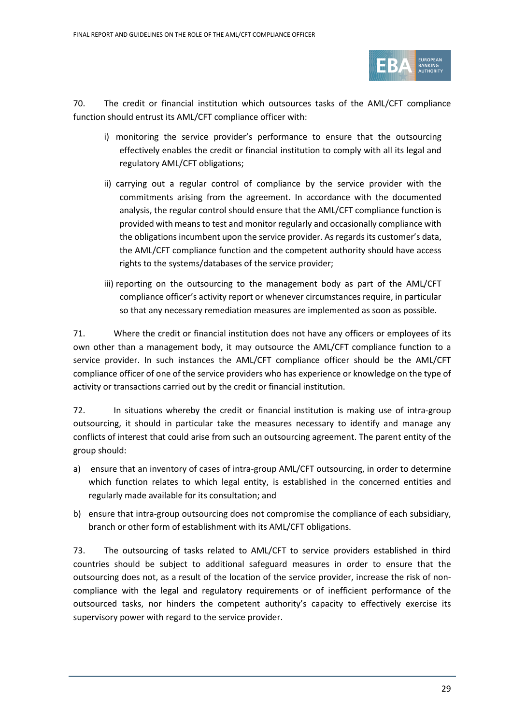

70. The credit or financial institution which outsources tasks of the AML/CFT compliance function should entrust its AML/CFT compliance officer with:

- i) monitoring the service provider's performance to ensure that the outsourcing effectively enables the credit or financial institution to comply with all its legal and regulatory AML/CFT obligations;
- ii) carrying out a regular control of compliance by the service provider with the commitments arising from the agreement. In accordance with the documented analysis, the regular control should ensure that the AML/CFT compliance function is provided with means to test and monitor regularly and occasionally compliance with the obligations incumbent upon the service provider. As regards its customer's data, the AML/CFT compliance function and the competent authority should have access rights to the systems/databases of the service provider;
- iii) reporting on the outsourcing to the management body as part of the AML/CFT compliance officer's activity report or whenever circumstances require, in particular so that any necessary remediation measures are implemented as soon as possible.

71. Where the credit or financial institution does not have any officers or employees of its own other than a management body, it may outsource the AML/CFT compliance function to a service provider. In such instances the AML/CFT compliance officer should be the AML/CFT compliance officer of one of the service providers who has experience or knowledge on the type of activity or transactions carried out by the credit or financial institution.

72. In situations whereby the credit or financial institution is making use of intra-group outsourcing, it should in particular take the measures necessary to identify and manage any conflicts of interest that could arise from such an outsourcing agreement. The parent entity of the group should:

- a) ensure that an inventory of cases of intra-group AML/CFT outsourcing, in order to determine which function relates to which legal entity, is established in the concerned entities and regularly made available for its consultation; and
- b) ensure that intra-group outsourcing does not compromise the compliance of each subsidiary, branch or other form of establishment with its AML/CFT obligations.

73. The outsourcing of tasks related to AML/CFT to service providers established in third countries should be subject to additional safeguard measures in order to ensure that the outsourcing does not, as a result of the location of the service provider, increase the risk of noncompliance with the legal and regulatory requirements or of inefficient performance of the outsourced tasks, nor hinders the competent authority's capacity to effectively exercise its supervisory power with regard to the service provider.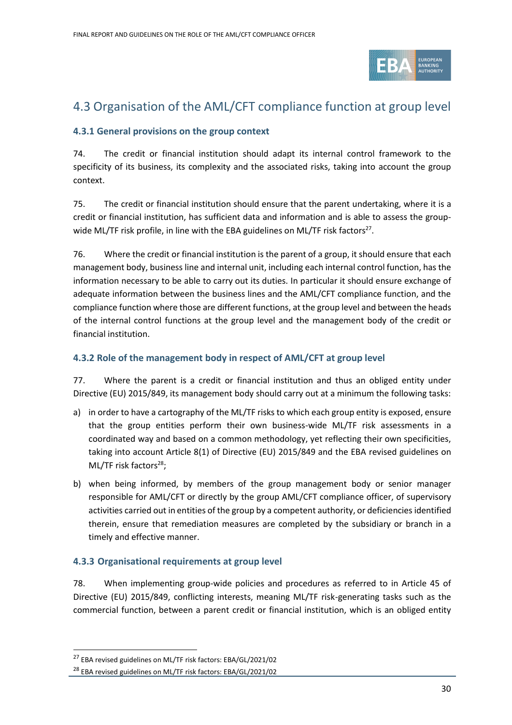

## <span id="page-29-0"></span>4.3 Organisation of the AML/CFT compliance function at group level

#### **4.3.1 General provisions on the group context**

74. The credit or financial institution should adapt its internal control framework to the specificity of its business, its complexity and the associated risks, taking into account the group context.

75. The credit or financial institution should ensure that the parent undertaking, where it is a credit or financial institution, has sufficient data and information and is able to assess the groupwide ML/TF risk profile, in line with the EBA guidelines on ML/TF risk factors<sup>27</sup>.

76. Where the credit or financial institution is the parent of a group, it should ensure that each management body, business line and internal unit, including each internal control function, has the information necessary to be able to carry out its duties. In particular it should ensure exchange of adequate information between the business lines and the AML/CFT compliance function, and the compliance function where those are different functions, at the group level and between the heads of the internal control functions at the group level and the management body of the credit or financial institution.

#### **4.3.2 Role of the management body in respect of AML/CFT at group level**

77. Where the parent is a credit or financial institution and thus an obliged entity under Directive (EU) 2015/849, its management body should carry out at a minimum the following tasks:

- a) in order to have a cartography of the ML/TF risks to which each group entity is exposed, ensure that the group entities perform their own business-wide ML/TF risk assessments in a coordinated way and based on a common methodology, yet reflecting their own specificities, taking into account Article 8(1) of Directive (EU) 2015/849 and the EBA revised guidelines on ML/TF risk factors<sup>28</sup>;
- b) when being informed, by members of the group management body or senior manager responsible for AML/CFT or directly by the group AML/CFT compliance officer, of supervisory activities carried out in entities of the group by a competent authority, or deficiencies identified therein, ensure that remediation measures are completed by the subsidiary or branch in a timely and effective manner.

#### **4.3.3 Organisational requirements at group level**

78. When implementing group-wide policies and procedures as referred to in Article 45 of Directive (EU) 2015/849, conflicting interests, meaning ML/TF risk-generating tasks such as the commercial function, between a parent credit or financial institution, which is an obliged entity

<sup>27</sup> EBA revised guidelines on ML/TF risk factors: EBA/GL/2021/02

<sup>28</sup> EBA revised guidelines on ML/TF risk factors: EBA/GL/2021/02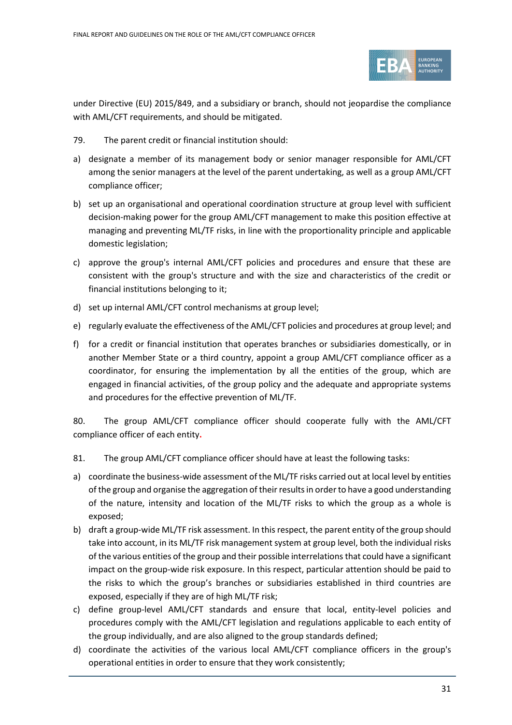

under Directive (EU) 2015/849, and a subsidiary or branch, should not jeopardise the compliance with AML/CFT requirements, and should be mitigated.

- 79. The parent credit or financial institution should:
- a) designate a member of its management body or senior manager responsible for AML/CFT among the senior managers at the level of the parent undertaking, as well as a group AML/CFT compliance officer;
- b) set up an organisational and operational coordination structure at group level with sufficient decision-making power for the group AML/CFT management to make this position effective at managing and preventing ML/TF risks, in line with the proportionality principle and applicable domestic legislation;
- c) approve the group's internal AML/CFT policies and procedures and ensure that these are consistent with the group's structure and with the size and characteristics of the credit or financial institutions belonging to it;
- d) set up internal AML/CFT control mechanisms at group level;
- e) regularly evaluate the effectiveness of the AML/CFT policies and procedures at group level; and
- f) for a credit or financial institution that operates branches or subsidiaries domestically, or in another Member State or a third country, appoint a group AML/CFT compliance officer as a coordinator, for ensuring the implementation by all the entities of the group, which are engaged in financial activities, of the group policy and the adequate and appropriate systems and procedures for the effective prevention of ML/TF.

80. The group AML/CFT compliance officer should cooperate fully with the AML/CFT compliance officer of each entity**.** 

- 81. The group AML/CFT compliance officer should have at least the following tasks:
- a) coordinate the business-wide assessment of the ML/TF risks carried out at local level by entities of the group and organise the aggregation of their results in order to have a good understanding of the nature, intensity and location of the ML/TF risks to which the group as a whole is exposed;
- b) draft a group-wide ML/TF risk assessment. In this respect, the parent entity of the group should take into account, in its ML/TF risk management system at group level, both the individual risks of the various entities of the group and their possible interrelations that could have a significant impact on the group-wide risk exposure. In this respect, particular attention should be paid to the risks to which the group's branches or subsidiaries established in third countries are exposed, especially if they are of high ML/TF risk;
- c) define group-level AML/CFT standards and ensure that local, entity-level policies and procedures comply with the AML/CFT legislation and regulations applicable to each entity of the group individually, and are also aligned to the group standards defined;
- d) coordinate the activities of the various local AML/CFT compliance officers in the group's operational entities in order to ensure that they work consistently;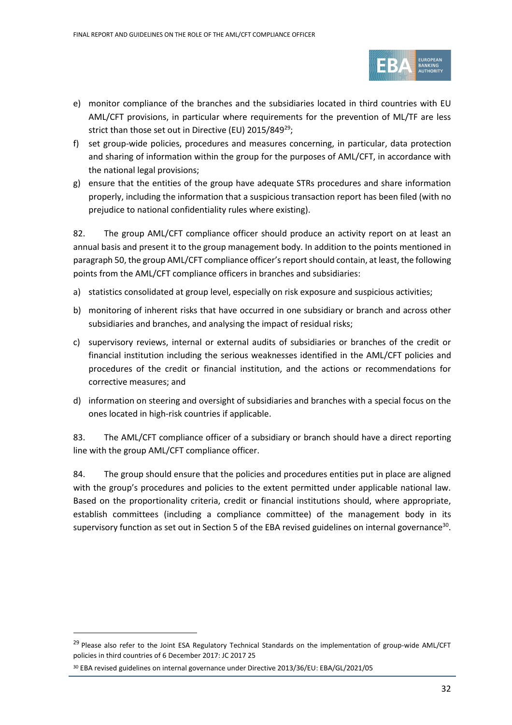

- e) monitor compliance of the branches and the subsidiaries located in third countries with EU AML/CFT provisions, in particular where requirements for the prevention of ML/TF are less strict than those set out in Directive (EU)  $2015/849^{29}$ ;
- f) set group-wide policies, procedures and measures concerning, in particular, data protection and sharing of information within the group for the purposes of AML/CFT, in accordance with the national legal provisions;
- g) ensure that the entities of the group have adequate STRs procedures and share information properly, including the information that a suspicious transaction report has been filed (with no prejudice to national confidentiality rules where existing).

82. The group AML/CFT compliance officer should produce an activity report on at least an annual basis and present it to the group management body. In addition to the points mentioned in paragraph 50, the group AML/CFT compliance officer's report should contain, at least, the following points from the AML/CFT compliance officers in branches and subsidiaries:

- a) statistics consolidated at group level, especially on risk exposure and suspicious activities;
- b) monitoring of inherent risks that have occurred in one subsidiary or branch and across other subsidiaries and branches, and analysing the impact of residual risks;
- c) supervisory reviews, internal or external audits of subsidiaries or branches of the credit or financial institution including the serious weaknesses identified in the AML/CFT policies and procedures of the credit or financial institution, and the actions or recommendations for corrective measures; and
- d) information on steering and oversight of subsidiaries and branches with a special focus on the ones located in high-risk countries if applicable.

83. The AML/CFT compliance officer of a subsidiary or branch should have a direct reporting line with the group AML/CFT compliance officer.

84. The group should ensure that the policies and procedures entities put in place are aligned with the group's procedures and policies to the extent permitted under applicable national law. Based on the proportionality criteria, credit or financial institutions should, where appropriate, establish committees (including a compliance committee) of the management body in its supervisory function as set out in Section 5 of the EBA revised guidelines on internal governance<sup>30</sup>.

<sup>&</sup>lt;sup>29</sup> Please also refer to the Joint ESA Regulatory Technical Standards on the implementation of group-wide AML/CFT policies in third countries of 6 December 2017: JC 2017 25

<sup>30</sup> EBA revised guidelines on internal governance under Directive 2013/36/EU: EBA/GL/2021/05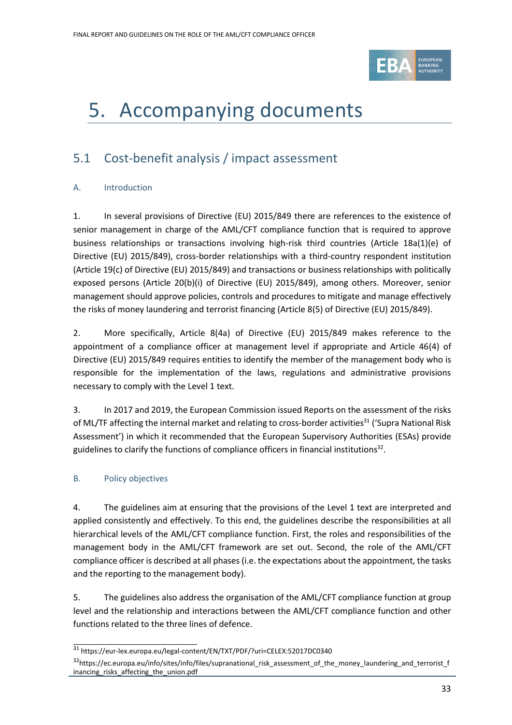

# <span id="page-32-0"></span>5. Accompanying documents

## <span id="page-32-1"></span>5.1 Cost-benefit analysis / impact assessment

#### A. Introduction

1. In several provisions of Directive (EU) 2015/849 there are references to the existence of senior management in charge of the AML/CFT compliance function that is required to approve business relationships or transactions involving high-risk third countries (Article 18a(1)(e) of Directive (EU) 2015/849), cross-border relationships with a third-country respondent institution (Article 19(c) of Directive (EU) 2015/849) and transactions or business relationships with politically exposed persons (Article 20(b)(i) of Directive (EU) 2015/849), among others. Moreover, senior management should approve policies, controls and procedures to mitigate and manage effectively the risks of money laundering and terrorist financing (Article 8(5) of Directive (EU) 2015/849).

2. More specifically, Article 8(4a) of Directive (EU) 2015/849 makes reference to the appointment of a compliance officer at management level if appropriate and Article 46(4) of Directive (EU) 2015/849 requires entities to identify the member of the management body who is responsible for the implementation of the laws, regulations and administrative provisions necessary to comply with the Level 1 text.

3. In 2017 and 2019, the European Commission issued Reports on the assessment of the risks of ML/TF affecting the internal market and relating to cross-border activities<sup>31</sup> ('Supra National Risk Assessment') in which it recommended that the European Supervisory Authorities (ESAs) provide guidelines to clarify the functions of compliance officers in financial institutions<sup>32</sup>.

#### B. Policy objectives

4. The guidelines aim at ensuring that the provisions of the Level 1 text are interpreted and applied consistently and effectively. To this end, the guidelines describe the responsibilities at all hierarchical levels of the AML/CFT compliance function. First, the roles and responsibilities of the management body in the AML/CFT framework are set out. Second, the role of the AML/CFT compliance officer is described at all phases (i.e. the expectations about the appointment, the tasks and the reporting to the management body).

5. The guidelines also address the organisation of the AML/CFT compliance function at group level and the relationship and interactions between the AML/CFT compliance function and other functions related to the three lines of defence.

<sup>31</sup> https://eur-lex.europa.eu/legal-content/EN/TXT/PDF/?uri=CELEX:52017DC0340

 $32$ https://ec.europa.eu/info/sites/info/files/supranational risk assessment of the money laundering and terrorist f inancing\_risks\_affecting\_the\_union.pdf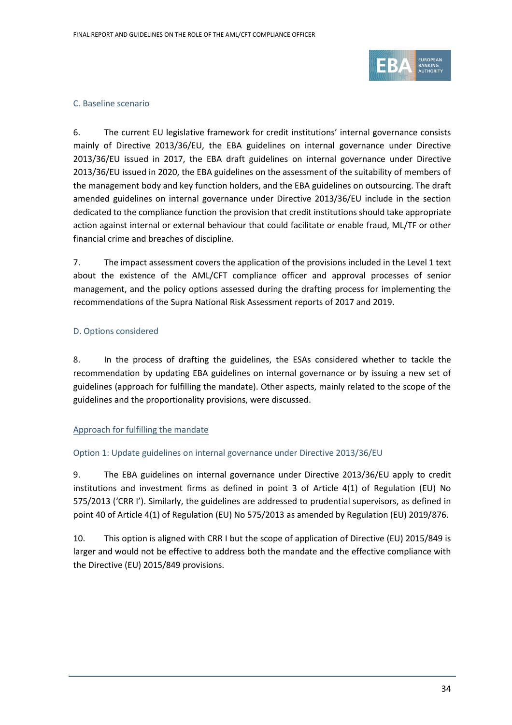

#### C. Baseline scenario

6. The current EU legislative framework for credit institutions' internal governance consists mainly of Directive 2013/36/EU, the EBA guidelines on internal governance under Directive 2013/36/EU issued in 2017, the EBA draft guidelines on internal governance under Directive 2013/36/EU issued in 2020, the EBA guidelines on the assessment of the suitability of members of the management body and key function holders, and the EBA guidelines on outsourcing. The draft amended guidelines on internal governance under Directive 2013/36/EU include in the section dedicated to the compliance function the provision that credit institutions should take appropriate action against internal or external behaviour that could facilitate or enable fraud, ML/TF or other financial crime and breaches of discipline.

7. The impact assessment covers the application of the provisions included in the Level 1 text about the existence of the AML/CFT compliance officer and approval processes of senior management, and the policy options assessed during the drafting process for implementing the recommendations of the Supra National Risk Assessment reports of 2017 and 2019.

#### D. Options considered

8. In the process of drafting the guidelines, the ESAs considered whether to tackle the recommendation by updating EBA guidelines on internal governance or by issuing a new set of guidelines (approach for fulfilling the mandate). Other aspects, mainly related to the scope of the guidelines and the proportionality provisions, were discussed.

#### Approach for fulfilling the mandate

#### Option 1: Update guidelines on internal governance under Directive 2013/36/EU

9. The EBA guidelines on internal governance under Directive 2013/36/EU apply to credit institutions and investment firms as defined in point 3 of Article 4(1) of Regulation (EU) No 575/2013 ('CRR I'). Similarly, the guidelines are addressed to prudential supervisors, as defined in point 40 of Article 4(1) of Regulation (EU) No 575/2013 as amended by Regulation (EU) 2019/876.

10. This option is aligned with CRR I but the scope of application of Directive (EU) 2015/849 is larger and would not be effective to address both the mandate and the effective compliance with the Directive (EU) 2015/849 provisions.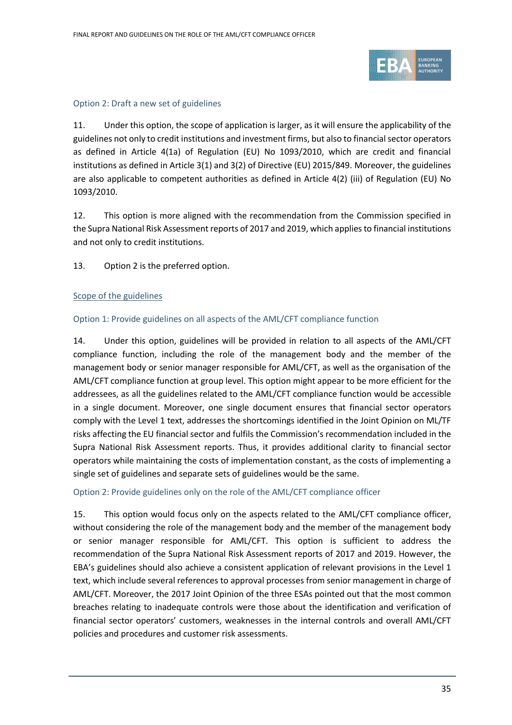

#### Option 2: Draft a new set of guidelines

11. Under this option, the scope of application is larger, as it will ensure the applicability of the guidelines not only to credit institutions and investment firms, but also to financial sector operators as defined in Article 4(1a) of Regulation (EU) No 1093/2010, which are credit and financial institutions as defined in Article 3(1) and 3(2) of Directive (EU) 2015/849. Moreover, the guidelines are also applicable to competent authorities as defined in Article 4(2) (iii) of Regulation (EU) No 1093/2010.

12. This option is more aligned with the recommendation from the Commission specified in the Supra National Risk Assessment reports of 2017 and 2019, which applies to financial institutions and not only to credit institutions.

13. Option 2 is the preferred option.

#### Scope of the guidelines

#### Option 1: Provide guidelines on all aspects of the AML/CFT compliance function

14. Under this option, guidelines will be provided in relation to all aspects of the AML/CFT compliance function, including the role of the management body and the member of the management body or senior manager responsible for AML/CFT, as well as the organisation of the AML/CFT compliance function at group level. This option might appear to be more efficient for the addressees, as all the guidelines related to the AML/CFT compliance function would be accessible in a single document. Moreover, one single document ensures that financial sector operators comply with the Level 1 text, addresses the shortcomings identified in the Joint Opinion on ML/TF risks affecting the EU financial sector and fulfils the Commission's recommendation included in the Supra National Risk Assessment reports. Thus, it provides additional clarity to financial sector operators while maintaining the costs of implementation constant, as the costs of implementing a single set of guidelines and separate sets of guidelines would be the same.

#### Option 2: Provide guidelines only on the role of the AML/CFT compliance officer

15. This option would focus only on the aspects related to the AML/CFT compliance officer, without considering the role of the management body and the member of the management body or senior manager responsible for AML/CFT. This option is sufficient to address the recommendation of the Supra National Risk Assessment reports of 2017 and 2019. However, the EBA's guidelines should also achieve a consistent application of relevant provisions in the Level 1 text, which include several references to approval processes from senior management in charge of AML/CFT. Moreover, the 2017 Joint Opinion of the three ESAs pointed out that the most common breaches relating to inadequate controls were those about the identification and verification of financial sector operators' customers, weaknesses in the internal controls and overall AML/CFT policies and procedures and customer risk assessments.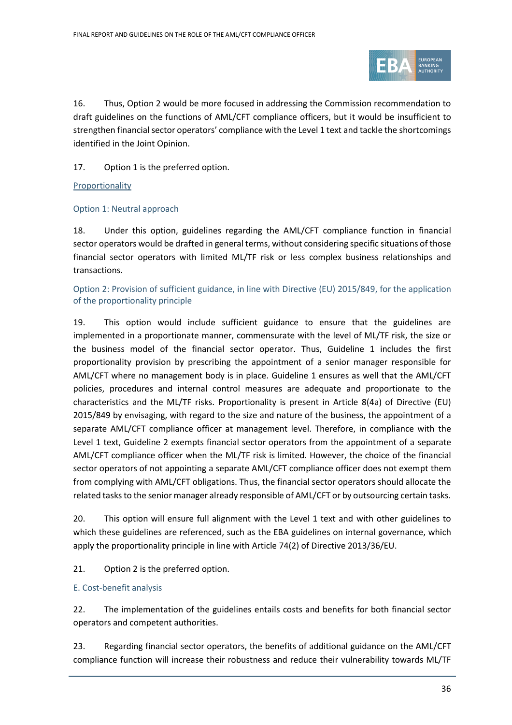

16. Thus, Option 2 would be more focused in addressing the Commission recommendation to draft guidelines on the functions of AML/CFT compliance officers, but it would be insufficient to strengthen financial sector operators' compliance with the Level 1 text and tackle the shortcomings identified in the Joint Opinion.

17. Option 1 is the preferred option.

**Proportionality** 

Option 1: Neutral approach

18. Under this option, guidelines regarding the AML/CFT compliance function in financial sector operators would be drafted in general terms, without considering specific situations of those financial sector operators with limited ML/TF risk or less complex business relationships and transactions.

Option 2: Provision of sufficient guidance, in line with Directive (EU) 2015/849, for the application of the proportionality principle

19. This option would include sufficient guidance to ensure that the guidelines are implemented in a proportionate manner, commensurate with the level of ML/TF risk, the size or the business model of the financial sector operator. Thus, Guideline 1 includes the first proportionality provision by prescribing the appointment of a senior manager responsible for AML/CFT where no management body is in place. Guideline 1 ensures as well that the AML/CFT policies, procedures and internal control measures are adequate and proportionate to the characteristics and the ML/TF risks. Proportionality is present in Article 8(4a) of Directive (EU) 2015/849 by envisaging, with regard to the size and nature of the business, the appointment of a separate AML/CFT compliance officer at management level. Therefore, in compliance with the Level 1 text, Guideline 2 exempts financial sector operators from the appointment of a separate AML/CFT compliance officer when the ML/TF risk is limited. However, the choice of the financial sector operators of not appointing a separate AML/CFT compliance officer does not exempt them from complying with AML/CFT obligations. Thus, the financial sector operators should allocate the related tasks to the senior manager already responsible of AML/CFT or by outsourcing certain tasks.

20. This option will ensure full alignment with the Level 1 text and with other guidelines to which these guidelines are referenced, such as the EBA guidelines on internal governance, which apply the proportionality principle in line with Article 74(2) of Directive 2013/36/EU.

21. Option 2 is the preferred option.

E. Cost-benefit analysis

22. The implementation of the guidelines entails costs and benefits for both financial sector operators and competent authorities.

23. Regarding financial sector operators, the benefits of additional guidance on the AML/CFT compliance function will increase their robustness and reduce their vulnerability towards ML/TF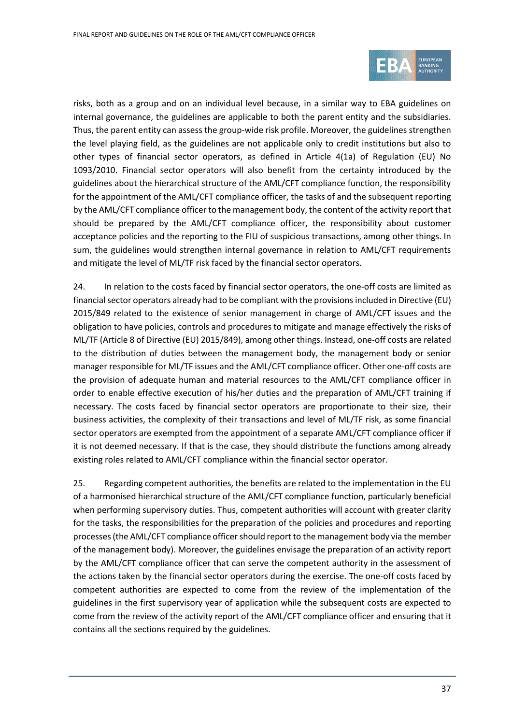

risks, both as a group and on an individual level because, in a similar way to EBA guidelines on internal governance, the guidelines are applicable to both the parent entity and the subsidiaries. Thus, the parent entity can assess the group-wide risk profile. Moreover, the guidelines strengthen the level playing field, as the guidelines are not applicable only to credit institutions but also to other types of financial sector operators, as defined in Article 4(1a) of Regulation (EU) No 1093/2010. Financial sector operators will also benefit from the certainty introduced by the guidelines about the hierarchical structure of the AML/CFT compliance function, the responsibility for the appointment of the AML/CFT compliance officer, the tasks of and the subsequent reporting by the AML/CFT compliance officer to the management body, the content of the activity report that should be prepared by the AML/CFT compliance officer, the responsibility about customer acceptance policies and the reporting to the FIU of suspicious transactions, among other things. In sum, the guidelines would strengthen internal governance in relation to AML/CFT requirements and mitigate the level of ML/TF risk faced by the financial sector operators.

24. In relation to the costs faced by financial sector operators, the one-off costs are limited as financial sector operators already had to be compliant with the provisions included in Directive (EU) 2015/849 related to the existence of senior management in charge of AML/CFT issues and the obligation to have policies, controls and procedures to mitigate and manage effectively the risks of ML/TF (Article 8 of Directive (EU) 2015/849), among other things. Instead, one-off costs are related to the distribution of duties between the management body, the management body or senior manager responsible for ML/TF issues and the AML/CFT compliance officer. Other one-off costs are the provision of adequate human and material resources to the AML/CFT compliance officer in order to enable effective execution of his/her duties and the preparation of AML/CFT training if necessary. The costs faced by financial sector operators are proportionate to their size, their business activities, the complexity of their transactions and level of ML/TF risk, as some financial sector operators are exempted from the appointment of a separate AML/CFT compliance officer if it is not deemed necessary. If that is the case, they should distribute the functions among already existing roles related to AML/CFT compliance within the financial sector operator.

25. Regarding competent authorities, the benefits are related to the implementation in the EU of a harmonised hierarchical structure of the AML/CFT compliance function, particularly beneficial when performing supervisory duties. Thus, competent authorities will account with greater clarity for the tasks, the responsibilities for the preparation of the policies and procedures and reporting processes (the AML/CFT compliance officer should report to the management body via the member of the management body). Moreover, the guidelines envisage the preparation of an activity report by the AML/CFT compliance officer that can serve the competent authority in the assessment of the actions taken by the financial sector operators during the exercise. The one-off costs faced by competent authorities are expected to come from the review of the implementation of the guidelines in the first supervisory year of application while the subsequent costs are expected to come from the review of the activity report of the AML/CFT compliance officer and ensuring that it contains all the sections required by the guidelines.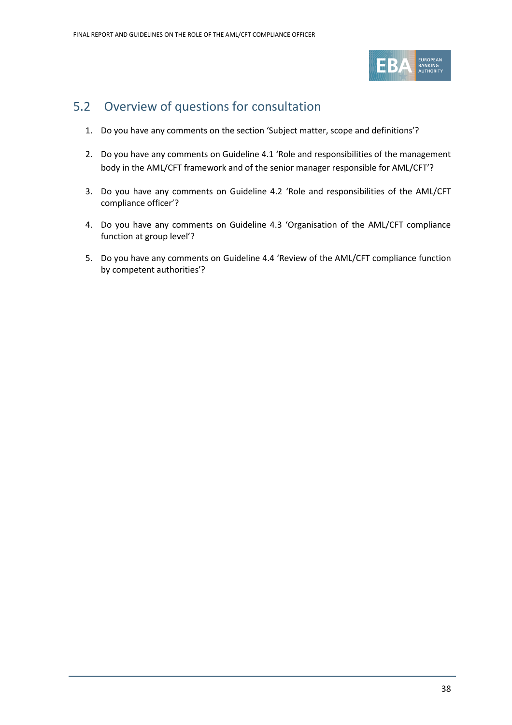

## <span id="page-37-0"></span>5.2 Overview of questions for consultation

- 1. Do you have any comments on the section 'Subject matter, scope and definitions'?
- 2. Do you have any comments on Guideline 4.1 'Role and responsibilities of the management body in the AML/CFT framework and of the senior manager responsible for AML/CFT'?
- 3. Do you have any comments on Guideline 4.2 'Role and responsibilities of the AML/CFT compliance officer'?
- 4. Do you have any comments on Guideline 4.3 'Organisation of the AML/CFT compliance function at group level'?
- 5. Do you have any comments on Guideline 4.4 'Review of the AML/CFT compliance function by competent authorities'?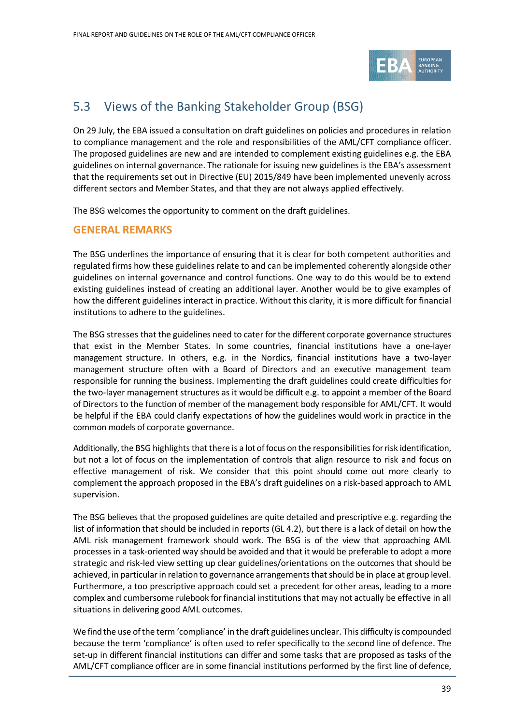

## <span id="page-38-0"></span>5.3 Views of the Banking Stakeholder Group (BSG)

On 29 July, the EBA issued a consultation on draft guidelines on policies and procedures in relation to compliance management and the role and responsibilities of the AML/CFT compliance officer. The proposed guidelines are new and are intended to complement existing guidelines e.g. the EBA guidelines on internal governance. The rationale for issuing new guidelines is the EBA's assessment that the requirements set out in Directive (EU) 2015/849 have been implemented unevenly across different sectors and Member States, and that they are not always applied effectively.

The BSG welcomes the opportunity to comment on the draft guidelines.

#### **GENERAL REMARKS**

The BSG underlines the importance of ensuring that it is clear for both competent authorities and regulated firms how these guidelines relate to and can be implemented coherently alongside other guidelines on internal governance and control functions. One way to do this would be to extend existing guidelines instead of creating an additional layer. Another would be to give examples of how the different guidelines interact in practice. Without this clarity, it is more difficult for financial institutions to adhere to the guidelines.

The BSG stresses that the guidelines need to cater for the different corporate governance structures that exist in the Member States. In some countries, financial institutions have a one-layer management structure. In others, e.g. in the Nordics, financial institutions have a two-layer management structure often with a Board of Directors and an executive management team responsible for running the business. Implementing the draft guidelines could create difficulties for the two-layer management structures as it would be difficult e.g. to appoint a member of the Board of Directors to the function of member of the management body responsible for AML/CFT. It would be helpful if the EBA could clarify expectations of how the guidelines would work in practice in the common models of corporate governance.

Additionally, the BSG highlights that there is a lot of focus on the responsibilities for risk identification, but not a lot of focus on the implementation of controls that align resource to risk and focus on effective management of risk. We consider that this point should come out more clearly to complement the approach proposed in the EBA's draft guidelines on a risk-based approach to AML supervision.

The BSG believes that the proposed guidelines are quite detailed and prescriptive e.g. regarding the list of information that should be included in reports (GL 4.2), but there is a lack of detail on how the AML risk management framework should work. The BSG is of the view that approaching AML processes in a task-oriented way should be avoided and that it would be preferable to adopt a more strategic and risk-led view setting up clear guidelines/orientations on the outcomes that should be achieved, in particular in relation to governance arrangements that should be in place at group level. Furthermore, a too prescriptive approach could set a precedent for other areas, leading to a more complex and cumbersome rulebook for financial institutions that may not actually be effective in all situations in delivering good AML outcomes.

We find the use of the term 'compliance' in the draft guidelines unclear. This difficulty is compounded because the term 'compliance' is often used to refer specifically to the second line of defence. The set-up in different financial institutions can differ and some tasks that are proposed as tasks of the AML/CFT compliance officer are in some financial institutions performed by the first line of defence,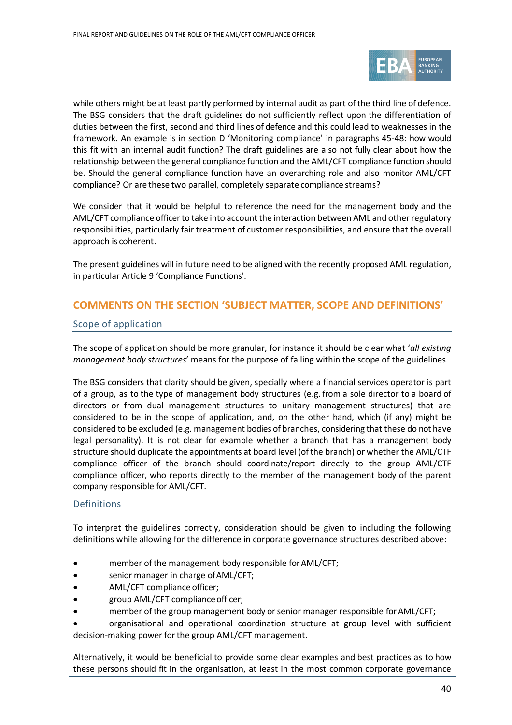

while others might be at least partly performed by internal audit as part of the third line of defence. The BSG considers that the draft guidelines do not sufficiently reflect upon the differentiation of duties between the first, second and third lines of defence and this could lead to weaknesses in the framework. An example is in section D 'Monitoring compliance' in paragraphs 45-48: how would this fit with an internal audit function? The draft guidelines are also not fully clear about how the relationship between the general compliance function and the AML/CFT compliance function should be. Should the general compliance function have an overarching role and also monitor AML/CFT compliance? Or are these two parallel, completely separate compliance streams?

We consider that it would be helpful to reference the need for the management body and the AML/CFT compliance officer to take into account the interaction between AML and other regulatory responsibilities, particularly fair treatment of customer responsibilities, and ensure that the overall approach is coherent.

The present guidelines will in future need to be aligned with the recently proposed AML regulation, in particular Article 9 'Compliance Functions'.

#### **COMMENTS ON THE SECTION 'SUBJECT MATTER, SCOPE AND DEFINITIONS'**

#### Scope of application

The scope of application should be more granular, for instance it should be clear what '*all existing management body structures*' means for the purpose of falling within the scope of the guidelines.

The BSG considers that clarity should be given, specially where a financial services operator is part of a group, as to the type of management body structures (e.g. from a sole director to a board of directors or from dual management structures to unitary management structures) that are considered to be in the scope of application, and, on the other hand, which (if any) might be considered to be excluded (e.g. management bodies of branches, considering that these do not have legal personality). It is not clear for example whether a branch that has a management body structure should duplicate the appointments at board level (of the branch) or whether the AML/CTF compliance officer of the branch should coordinate/report directly to the group AML/CTF compliance officer, who reports directly to the member of the management body of the parent company responsible for AML/CFT.

#### Definitions

To interpret the guidelines correctly, consideration should be given to including the following definitions while allowing for the difference in corporate governance structures described above:

- member of the management body responsible for AML/CFT;
- senior manager in charge ofAML/CFT;
- AML/CFT compliance officer;
- group AML/CFT compliance officer;
- member of the group management body or senior manager responsible for AML/CFT;

• organisational and operational coordination structure at group level with sufficient decision-making power for the group AML/CFT management.

Alternatively, it would be beneficial to provide some clear examples and best practices as to how these persons should fit in the organisation, at least in the most common corporate governance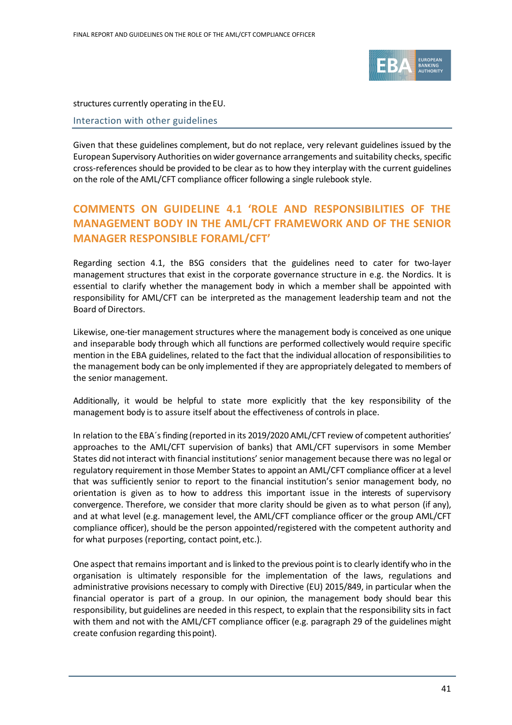

structures currently operating in theEU.

Interaction with other guidelines

Given that these guidelines complement, but do not replace, very relevant guidelines issued by the European Supervisory Authorities on wider governance arrangements and suitability checks, specific cross-references should be provided to be clear as to how they interplay with the current guidelines on the role of the AML/CFT compliance officer following a single rulebook style.

### **COMMENTS ON GUIDELINE 4.1 'ROLE AND RESPONSIBILITIES OF THE MANAGEMENT BODY IN THE AML/CFT FRAMEWORK AND OF THE SENIOR MANAGER RESPONSIBLE FORAML/CFT'**

Regarding section 4.1, the BSG considers that the guidelines need to cater for two-layer management structures that exist in the corporate governance structure in e.g. the Nordics. It is essential to clarify whether the management body in which a member shall be appointed with responsibility for AML/CFT can be interpreted as the management leadership team and not the Board of Directors.

Likewise, one-tier management structures where the management body is conceived as one unique and inseparable body through which all functions are performed collectively would require specific mention in the EBA guidelines, related to the fact that the individual allocation of responsibilities to the management body can be only implemented if they are appropriately delegated to members of the senior management.

Additionally, it would be helpful to state more explicitly that the key responsibility of the management body is to assure itself about the effectiveness of controls in place.

In relation to the EBA´s finding (reported in its 2019/2020 AML/CFT review of competent authorities' approaches to the AML/CFT supervision of banks) that AML/CFT supervisors in some Member States did not interact with financial institutions' senior management because there was no legal or regulatory requirement in those Member States to appoint an AML/CFT compliance officer at a level that was sufficiently senior to report to the financial institution's senior management body, no orientation is given as to how to address this important issue in the interests of supervisory convergence. Therefore, we consider that more clarity should be given as to what person (if any), and at what level (e.g. management level, the AML/CFT compliance officer or the group AML/CFT compliance officer), should be the person appointed/registered with the competent authority and for what purposes (reporting, contact point, etc.).

One aspect that remains important and is linked to the previous point is to clearly identify who in the organisation is ultimately responsible for the implementation of the laws, regulations and administrative provisions necessary to comply with Directive (EU) 2015/849, in particular when the financial operator is part of a group. In our opinion, the management body should bear this responsibility, but guidelines are needed in this respect, to explain that the responsibility sits in fact with them and not with the AML/CFT compliance officer (e.g. paragraph 29 of the guidelines might create confusion regarding thispoint).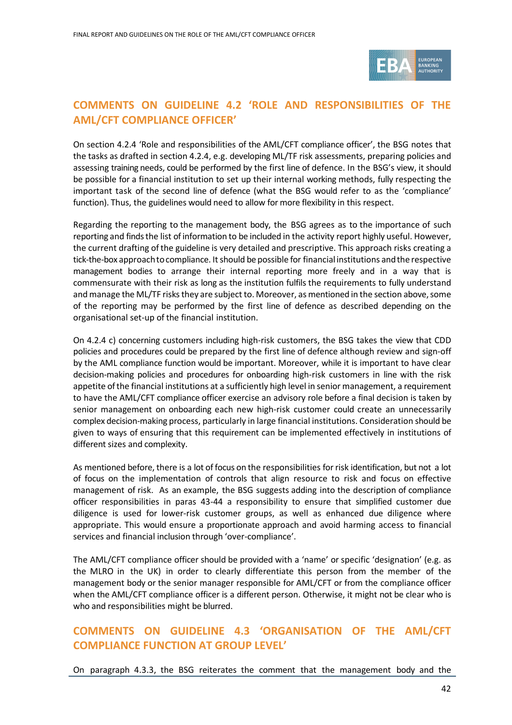

### **COMMENTS ON GUIDELINE 4.2 'ROLE AND RESPONSIBILITIES OF THE AML/CFT COMPLIANCE OFFICER'**

On section 4.2.4 'Role and responsibilities of the AML/CFT compliance officer', the BSG notes that the tasks as drafted in section 4.2.4, e.g. developing ML/TF risk assessments, preparing policies and assessing training needs, could be performed by the first line of defence. In the BSG's view, it should be possible for a financial institution to set up their internal working methods, fully respecting the important task of the second line of defence (what the BSG would refer to as the 'compliance' function). Thus, the guidelines would need to allow for more flexibility in this respect.

Regarding the reporting to the management body, the BSG agrees as to the importance of such reporting and finds the list of information to be included in the activity report highly useful. However, the current drafting of the guideline is very detailed and prescriptive. This approach risks creating a tick-the-box approach to compliance. It should be possible for financial institutions and the respective management bodies to arrange their internal reporting more freely and in a way that is commensurate with their risk as long as the institution fulfils the requirements to fully understand and manage the ML/TF risks they are subject to. Moreover, as mentioned in the section above, some of the reporting may be performed by the first line of defence as described depending on the organisational set-up of the financial institution.

On 4.2.4 c) concerning customers including high-risk customers, the BSG takes the view that CDD policies and procedures could be prepared by the first line of defence although review and sign-off by the AML compliance function would be important. Moreover, while it is important to have clear decision-making policies and procedures for onboarding high-risk customers in line with the risk appetite of the financial institutions at a sufficiently high level in senior management, a requirement to have the AML/CFT compliance officer exercise an advisory role before a final decision is taken by senior management on onboarding each new high-risk customer could create an unnecessarily complex decision-making process, particularly in large financial institutions. Consideration should be given to ways of ensuring that this requirement can be implemented effectively in institutions of different sizes and complexity.

As mentioned before, there is a lot of focus on the responsibilities for risk identification, but not a lot of focus on the implementation of controls that align resource to risk and focus on effective management of risk. As an example, the BSG suggests adding into the description of compliance officer responsibilities in paras 43-44 a responsibility to ensure that simplified customer due diligence is used for lower-risk customer groups, as well as enhanced due diligence where appropriate. This would ensure a proportionate approach and avoid harming access to financial services and financial inclusion through 'over-compliance'.

The AML/CFT compliance officer should be provided with a 'name' or specific 'designation' (e.g. as the MLRO in the UK) in order to clearly differentiate this person from the member of the management body or the senior manager responsible for AML/CFT or from the compliance officer when the AML/CFT compliance officer is a different person. Otherwise, it might not be clear who is who and responsibilities might be blurred.

### **COMMENTS ON GUIDELINE 4.3 'ORGANISATION OF THE AML/CFT COMPLIANCE FUNCTION AT GROUP LEVEL'**

On paragraph 4.3.3, the BSG reiterates the comment that the management body and the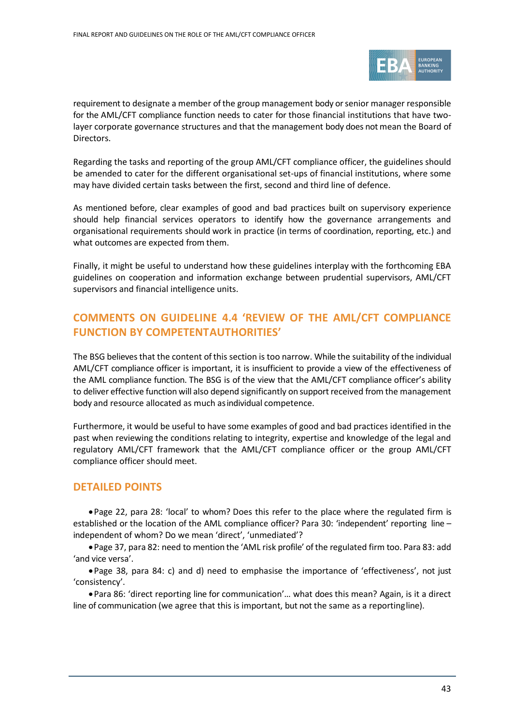

requirement to designate a member of the group management body or senior manager responsible for the AML/CFT compliance function needs to cater for those financial institutions that have twolayer corporate governance structures and that the management body does not mean the Board of Directors.

Regarding the tasks and reporting of the group AML/CFT compliance officer, the guidelines should be amended to cater for the different organisational set-ups of financial institutions, where some may have divided certain tasks between the first, second and third line of defence.

As mentioned before, clear examples of good and bad practices built on supervisory experience should help financial services operators to identify how the governance arrangements and organisational requirements should work in practice (in terms of coordination, reporting, etc.) and what outcomes are expected from them.

Finally, it might be useful to understand how these guidelines interplay with the forthcoming EBA guidelines on cooperation and information exchange between prudential supervisors, AML/CFT supervisors and financial intelligence units.

### **COMMENTS ON GUIDELINE 4.4 'REVIEW OF THE AML/CFT COMPLIANCE FUNCTION BY COMPETENTAUTHORITIES'**

The BSG believes that the content of this section is too narrow. While the suitability of the individual AML/CFT compliance officer is important, it is insufficient to provide a view of the effectiveness of the AML compliance function. The BSG is of the view that the AML/CFT compliance officer's ability to deliver effective function will also depend significantly on support received from the management body and resource allocated as much asindividual competence.

Furthermore, it would be useful to have some examples of good and bad practices identified in the past when reviewing the conditions relating to integrity, expertise and knowledge of the legal and regulatory AML/CFT framework that the AML/CFT compliance officer or the group AML/CFT compliance officer should meet.

#### **DETAILED POINTS**

•Page 22, para 28: 'local' to whom? Does this refer to the place where the regulated firm is established or the location of the AML compliance officer? Para 30: 'independent' reporting line – independent of whom? Do we mean 'direct', 'unmediated'?

•Page 37, para 82: need to mention the 'AML risk profile' of the regulated firm too. Para 83: add 'and vice versa'.

•Page 38, para 84: c) and d) need to emphasise the importance of 'effectiveness', not just 'consistency'.

•Para 86: 'direct reporting line for communication'… what does this mean? Again, is it a direct line of communication (we agree that this is important, but not the same as a reportingline).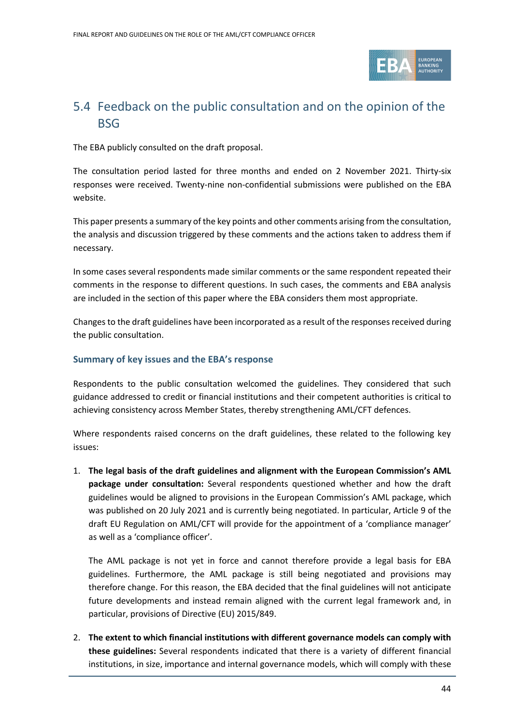

## <span id="page-43-0"></span>5.4 Feedback on the public consultation and on the opinion of the BSG

The EBA publicly consulted on the draft proposal.

The consultation period lasted for three months and ended on 2 November 2021. Thirty-six responses were received. Twenty-nine non-confidential submissions were published on the EBA website.

This paper presents a summary of the key points and other comments arising from the consultation, the analysis and discussion triggered by these comments and the actions taken to address them if necessary.

In some cases several respondents made similar comments or the same respondent repeated their comments in the response to different questions. In such cases, the comments and EBA analysis are included in the section of this paper where the EBA considers them most appropriate.

Changes to the draft guidelines have been incorporated as a result of the responses received during the public consultation.

#### **Summary of key issues and the EBA's response**

Respondents to the public consultation welcomed the guidelines. They considered that such guidance addressed to credit or financial institutions and their competent authorities is critical to achieving consistency across Member States, thereby strengthening AML/CFT defences.

Where respondents raised concerns on the draft guidelines, these related to the following key issues:

1. **The legal basis of the draft guidelines and alignment with the European Commission's AML package under consultation:** Several respondents questioned whether and how the draft guidelines would be aligned to provisions in the European Commission's AML package, which was published on 20 July 2021 and is currently being negotiated. In particular, Article 9 of the draft EU Regulation on AML/CFT will provide for the appointment of a 'compliance manager' as well as a 'compliance officer'.

The AML package is not yet in force and cannot therefore provide a legal basis for EBA guidelines. Furthermore, the AML package is still being negotiated and provisions may therefore change. For this reason, the EBA decided that the final guidelines will not anticipate future developments and instead remain aligned with the current legal framework and, in particular, provisions of Directive (EU) 2015/849.

2. **The extent to which financial institutions with different governance models can comply with these guidelines:** Several respondents indicated that there is a variety of different financial institutions, in size, importance and internal governance models, which will comply with these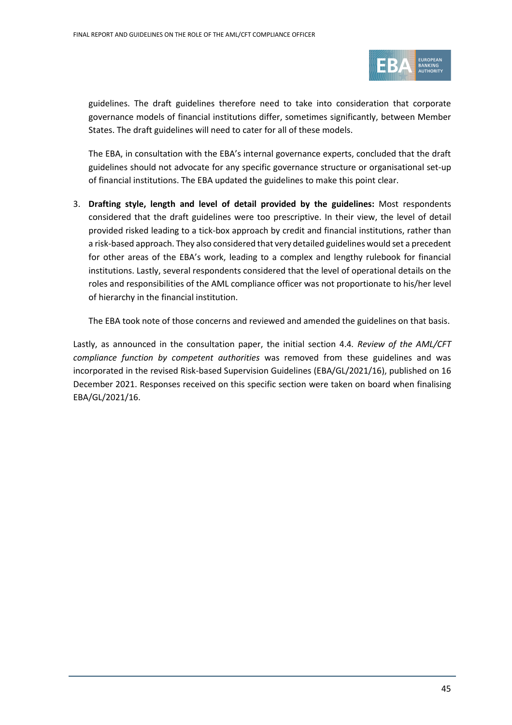

guidelines. The draft guidelines therefore need to take into consideration that corporate governance models of financial institutions differ, sometimes significantly, between Member States. The draft guidelines will need to cater for all of these models.

The EBA, in consultation with the EBA's internal governance experts, concluded that the draft guidelines should not advocate for any specific governance structure or organisational set-up of financial institutions. The EBA updated the guidelines to make this point clear.

3. **Drafting style, length and level of detail provided by the guidelines:** Most respondents considered that the draft guidelines were too prescriptive. In their view, the level of detail provided risked leading to a tick-box approach by credit and financial institutions, rather than a risk-based approach. They also considered that very detailed guidelines would set a precedent for other areas of the EBA's work, leading to a complex and lengthy rulebook for financial institutions. Lastly, several respondents considered that the level of operational details on the roles and responsibilities of the AML compliance officer was not proportionate to his/her level of hierarchy in the financial institution.

The EBA took note of those concerns and reviewed and amended the guidelines on that basis.

Lastly, as announced in the consultation paper, the initial section 4.4*. Review of the AML/CFT compliance function by competent authorities* was removed from these guidelines and was incorporated in the revised Risk-based Supervision Guidelines (EBA/GL/2021/16), published on 16 December 2021. Responses received on this specific section were taken on board when finalising EBA/GL/2021/16.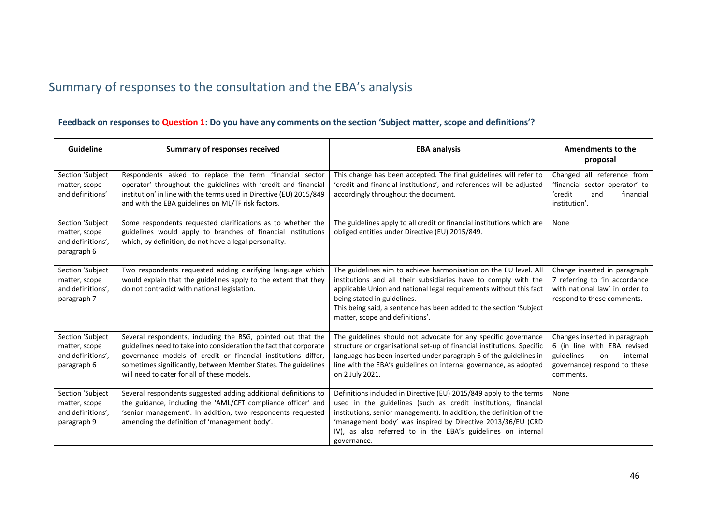## Summary of responses to the consultation and the EBA's analysis

 $\mathbf{r}$ 

<span id="page-45-0"></span>

|                                                                       | Feedback on responses to Question 1: Do you have any comments on the section 'Subject matter, scope and definitions'?                                                                                                                                                                                                |                                                                                                                                                                                                                                                                                                                                                            |                                                                                                                                           |  |
|-----------------------------------------------------------------------|----------------------------------------------------------------------------------------------------------------------------------------------------------------------------------------------------------------------------------------------------------------------------------------------------------------------|------------------------------------------------------------------------------------------------------------------------------------------------------------------------------------------------------------------------------------------------------------------------------------------------------------------------------------------------------------|-------------------------------------------------------------------------------------------------------------------------------------------|--|
| <b>Guideline</b>                                                      | <b>Summary of responses received</b>                                                                                                                                                                                                                                                                                 | <b>EBA analysis</b>                                                                                                                                                                                                                                                                                                                                        | Amendments to the<br>proposal                                                                                                             |  |
| Section 'Subject<br>matter, scope<br>and definitions'                 | Respondents asked to replace the term 'financial sector<br>operator' throughout the guidelines with 'credit and financial<br>institution' in line with the terms used in Directive (EU) 2015/849<br>and with the EBA guidelines on ML/TF risk factors.                                                               | This change has been accepted. The final guidelines will refer to<br>'credit and financial institutions', and references will be adjusted<br>accordingly throughout the document.                                                                                                                                                                          | Changed all reference from<br>'financial sector operator' to<br>'credit<br>financial<br>and<br>institution'.                              |  |
| Section 'Subject<br>matter, scope<br>and definitions',<br>paragraph 6 | Some respondents requested clarifications as to whether the<br>guidelines would apply to branches of financial institutions<br>which, by definition, do not have a legal personality.                                                                                                                                | The guidelines apply to all credit or financial institutions which are<br>obliged entities under Directive (EU) 2015/849.                                                                                                                                                                                                                                  | None                                                                                                                                      |  |
| Section 'Subject<br>matter, scope<br>and definitions',<br>paragraph 7 | Two respondents requested adding clarifying language which<br>would explain that the guidelines apply to the extent that they<br>do not contradict with national legislation.                                                                                                                                        | The guidelines aim to achieve harmonisation on the EU level. All<br>institutions and all their subsidiaries have to comply with the<br>applicable Union and national legal requirements without this fact<br>being stated in guidelines.<br>This being said, a sentence has been added to the section 'Subject<br>matter, scope and definitions'.          | Change inserted in paragraph<br>7 referring to 'in accordance<br>with national law' in order to<br>respond to these comments.             |  |
| Section 'Subject<br>matter, scope<br>and definitions',<br>paragraph 6 | Several respondents, including the BSG, pointed out that the<br>guidelines need to take into consideration the fact that corporate<br>governance models of credit or financial institutions differ,<br>sometimes significantly, between Member States. The guidelines<br>will need to cater for all of these models. | The guidelines should not advocate for any specific governance<br>structure or organisational set-up of financial institutions. Specific<br>language has been inserted under paragraph 6 of the guidelines in<br>line with the EBA's guidelines on internal governance, as adopted<br>on 2 July 2021.                                                      | Changes inserted in paragraph<br>6 (in line with EBA revised<br>guidelines<br>internal<br>on<br>governance) respond to these<br>comments. |  |
| Section 'Subject<br>matter, scope<br>and definitions',<br>paragraph 9 | Several respondents suggested adding additional definitions to<br>the guidance, including the 'AML/CFT compliance officer' and<br>'senior management'. In addition, two respondents requested<br>amending the definition of 'management body'.                                                                       | Definitions included in Directive (EU) 2015/849 apply to the terms<br>used in the guidelines (such as credit institutions, financial<br>institutions, senior management). In addition, the definition of the<br>'management body' was inspired by Directive 2013/36/EU (CRD<br>IV), as also referred to in the EBA's guidelines on internal<br>governance. | None                                                                                                                                      |  |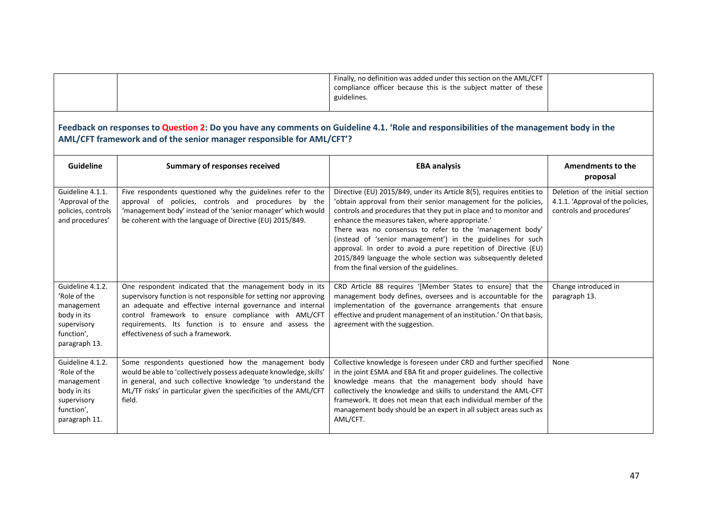|                                                                                                             |                                                                                                                                                                                                                                                                                                                                                    | Finally, no definition was added under this section on the AML/CFT<br>compliance officer because this is the subject matter of these<br>guidelines.                                                                                                                                                                                                                                                                                                                                                                                                                         |                                                                                                  |  |  |
|-------------------------------------------------------------------------------------------------------------|----------------------------------------------------------------------------------------------------------------------------------------------------------------------------------------------------------------------------------------------------------------------------------------------------------------------------------------------------|-----------------------------------------------------------------------------------------------------------------------------------------------------------------------------------------------------------------------------------------------------------------------------------------------------------------------------------------------------------------------------------------------------------------------------------------------------------------------------------------------------------------------------------------------------------------------------|--------------------------------------------------------------------------------------------------|--|--|
|                                                                                                             | Feedback on responses to Question 2: Do you have any comments on Guideline 4.1. 'Role and responsibilities of the management body in the<br>AML/CFT framework and of the senior manager responsible for AML/CFT'?                                                                                                                                  |                                                                                                                                                                                                                                                                                                                                                                                                                                                                                                                                                                             |                                                                                                  |  |  |
| <b>Guideline</b>                                                                                            | <b>Summary of responses received</b>                                                                                                                                                                                                                                                                                                               | <b>EBA analysis</b>                                                                                                                                                                                                                                                                                                                                                                                                                                                                                                                                                         | <b>Amendments to the</b><br>proposal                                                             |  |  |
| Guideline 4.1.1.<br>'Approval of the<br>policies, controls<br>and procedures'                               | Five respondents questioned why the guidelines refer to the<br>approval of policies, controls and procedures by the<br>'management body' instead of the 'senior manager' which would<br>be coherent with the language of Directive (EU) 2015/849.                                                                                                  | Directive (EU) 2015/849, under its Article 8(5), requires entities to<br>'obtain approval from their senior management for the policies,<br>controls and procedures that they put in place and to monitor and<br>enhance the measures taken, where appropriate.'<br>There was no consensus to refer to the 'management body'<br>(instead of 'senior management') in the guidelines for such<br>approval. In order to avoid a pure repetition of Directive (EU)<br>2015/849 language the whole section was subsequently deleted<br>from the final version of the guidelines. | Deletion of the initial section<br>4.1.1. 'Approval of the policies,<br>controls and procedures' |  |  |
| Guideline 4.1.2.<br>'Role of the<br>management<br>body in its<br>supervisory<br>function',<br>paragraph 13. | One respondent indicated that the management body in its<br>supervisory function is not responsible for setting nor approving<br>an adequate and effective internal governance and internal<br>control framework to ensure compliance with AML/CFT<br>requirements. Its function is to ensure and assess the<br>effectiveness of such a framework. | CRD Article 88 requires '[Member States to ensure] that the<br>management body defines, oversees and is accountable for the<br>implementation of the governance arrangements that ensure<br>effective and prudent management of an institution.' On that basis,<br>agreement with the suggestion.                                                                                                                                                                                                                                                                           | Change introduced in<br>paragraph 13.                                                            |  |  |
| Guideline 4.1.2.<br>'Role of the<br>management<br>body in its<br>supervisory<br>function',<br>paragraph 11. | Some respondents questioned how the management body<br>would be able to 'collectively possess adequate knowledge, skills'<br>in general, and such collective knowledge 'to understand the<br>ML/TF risks' in particular given the specificities of the AML/CFT<br>field.                                                                           | Collective knowledge is foreseen under CRD and further specified<br>in the joint ESMA and EBA fit and proper guidelines. The collective<br>knowledge means that the management body should have<br>collectively the knowledge and skills to understand the AML-CFT<br>framework. It does not mean that each individual member of the<br>management body should be an expert in all subject areas such as<br>AML/CFT.                                                                                                                                                        | None                                                                                             |  |  |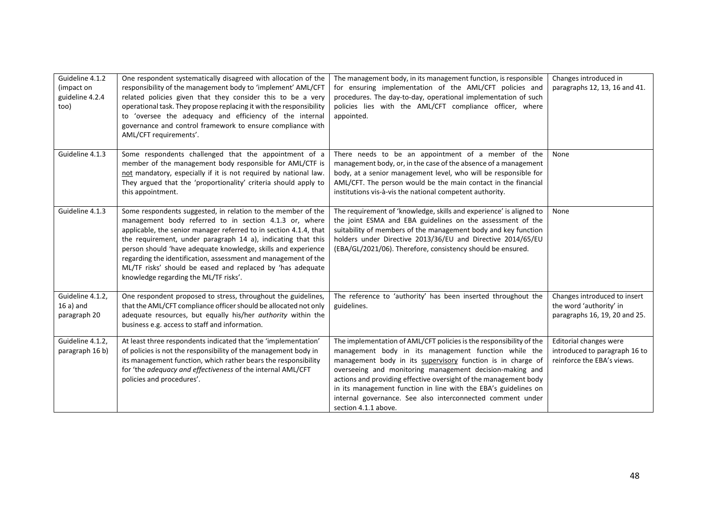| Guideline 4.1.2<br>(impact on<br>guideline 4.2.4<br>too) | One respondent systematically disagreed with allocation of the<br>responsibility of the management body to 'implement' AML/CFT<br>related policies given that they consider this to be a very<br>operational task. They propose replacing it with the responsibility<br>to 'oversee the adequacy and efficiency of the internal<br>governance and control framework to ensure compliance with<br>AML/CFT requirements'.                                                                               | The management body, in its management function, is responsible<br>for ensuring implementation of the AML/CFT policies and<br>procedures. The day-to-day, operational implementation of such<br>policies lies with the AML/CFT compliance officer, where<br>appointed.                                                                                                                                                                                                              | Changes introduced in<br>paragraphs 12, 13, 16 and 41.                                   |
|----------------------------------------------------------|-------------------------------------------------------------------------------------------------------------------------------------------------------------------------------------------------------------------------------------------------------------------------------------------------------------------------------------------------------------------------------------------------------------------------------------------------------------------------------------------------------|-------------------------------------------------------------------------------------------------------------------------------------------------------------------------------------------------------------------------------------------------------------------------------------------------------------------------------------------------------------------------------------------------------------------------------------------------------------------------------------|------------------------------------------------------------------------------------------|
| Guideline 4.1.3                                          | Some respondents challenged that the appointment of a<br>member of the management body responsible for AML/CTF is<br>not mandatory, especially if it is not required by national law.<br>They argued that the 'proportionality' criteria should apply to<br>this appointment.                                                                                                                                                                                                                         | There needs to be an appointment of a member of the<br>management body, or, in the case of the absence of a management<br>body, at a senior management level, who will be responsible for<br>AML/CFT. The person would be the main contact in the financial<br>institutions vis-à-vis the national competent authority.                                                                                                                                                             | None                                                                                     |
| Guideline 4.1.3                                          | Some respondents suggested, in relation to the member of the<br>management body referred to in section 4.1.3 or, where<br>applicable, the senior manager referred to in section 4.1.4, that<br>the requirement, under paragraph 14 a), indicating that this<br>person should 'have adequate knowledge, skills and experience<br>regarding the identification, assessment and management of the<br>ML/TF risks' should be eased and replaced by 'has adequate<br>knowledge regarding the ML/TF risks'. | The requirement of 'knowledge, skills and experience' is aligned to<br>the joint ESMA and EBA guidelines on the assessment of the<br>suitability of members of the management body and key function<br>holders under Directive 2013/36/EU and Directive 2014/65/EU<br>(EBA/GL/2021/06). Therefore, consistency should be ensured.                                                                                                                                                   | None                                                                                     |
| Guideline 4.1.2,<br>$16a)$ and<br>paragraph 20           | One respondent proposed to stress, throughout the guidelines,<br>that the AML/CFT compliance officer should be allocated not only<br>adequate resources, but equally his/her authority within the<br>business e.g. access to staff and information.                                                                                                                                                                                                                                                   | The reference to 'authority' has been inserted throughout the<br>guidelines.                                                                                                                                                                                                                                                                                                                                                                                                        | Changes introduced to insert<br>the word 'authority' in<br>paragraphs 16, 19, 20 and 25. |
| Guideline 4.1.2,<br>paragraph 16 b)                      | At least three respondents indicated that the 'implementation'<br>of policies is not the responsibility of the management body in<br>its management function, which rather bears the responsibility<br>for 'the adequacy and effectiveness of the internal AML/CFT<br>policies and procedures'.                                                                                                                                                                                                       | The implementation of AML/CFT policies is the responsibility of the<br>management body in its management function while the<br>management body in its supervisory function is in charge of<br>overseeing and monitoring management decision-making and<br>actions and providing effective oversight of the management body<br>in its management function in line with the EBA's guidelines on<br>internal governance. See also interconnected comment under<br>section 4.1.1 above. | Editorial changes were<br>introduced to paragraph 16 to<br>reinforce the EBA's views.    |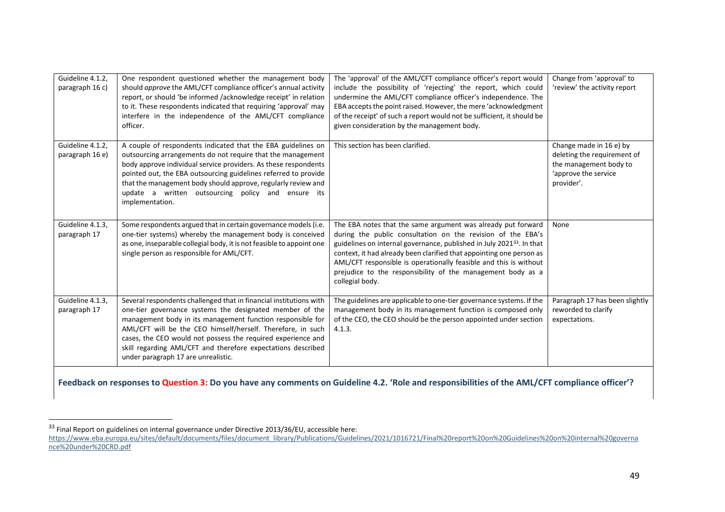| Guideline 4.1.2,<br>paragraph 16 c) | One respondent questioned whether the management body<br>should approve the AML/CFT compliance officer's annual activity<br>report, or should 'be informed /acknowledge receipt' in relation<br>to it. These respondents indicated that requiring 'approval' may<br>interfere in the independence of the AML/CFT compliance<br>officer.                                                                                            | The 'approval' of the AML/CFT compliance officer's report would<br>include the possibility of 'rejecting' the report, which could<br>undermine the AML/CFT compliance officer's independence. The<br>EBA accepts the point raised. However, the mere 'acknowledgment<br>of the receipt' of such a report would not be sufficient, it should be<br>given consideration by the management body.                                                   | Change from 'approval' to<br>'review' the activity report                                                              |
|-------------------------------------|------------------------------------------------------------------------------------------------------------------------------------------------------------------------------------------------------------------------------------------------------------------------------------------------------------------------------------------------------------------------------------------------------------------------------------|-------------------------------------------------------------------------------------------------------------------------------------------------------------------------------------------------------------------------------------------------------------------------------------------------------------------------------------------------------------------------------------------------------------------------------------------------|------------------------------------------------------------------------------------------------------------------------|
| Guideline 4.1.2,<br>paragraph 16 e) | A couple of respondents indicated that the EBA guidelines on<br>outsourcing arrangements do not require that the management<br>body approve individual service providers. As these respondents<br>pointed out, the EBA outsourcing guidelines referred to provide<br>that the management body should approve, regularly review and<br>update a written outsourcing policy and ensure its<br>implementation.                        | This section has been clarified.                                                                                                                                                                                                                                                                                                                                                                                                                | Change made in 16 e) by<br>deleting the requirement of<br>the management body to<br>'approve the service<br>provider'. |
| Guideline 4.1.3,<br>paragraph 17    | Some respondents argued that in certain governance models (i.e.<br>one-tier systems) whereby the management body is conceived<br>as one, inseparable collegial body, it is not feasible to appoint one<br>single person as responsible for AML/CFT.                                                                                                                                                                                | The EBA notes that the same argument was already put forward<br>during the public consultation on the revision of the EBA's<br>guidelines on internal governance, published in July 2021 <sup>33</sup> . In that<br>context, it had already been clarified that appointing one person as<br>AML/CFT responsible is operationally feasible and this is without<br>prejudice to the responsibility of the management body as a<br>collegial body. | None                                                                                                                   |
| Guideline 4.1.3.<br>paragraph 17    | Several respondents challenged that in financial institutions with<br>one-tier governance systems the designated member of the<br>management body in its management function responsible for<br>AML/CFT will be the CEO himself/herself. Therefore, in such<br>cases, the CEO would not possess the required experience and<br>skill regarding AML/CFT and therefore expectations described<br>under paragraph 17 are unrealistic. | The guidelines are applicable to one-tier governance systems. If the<br>management body in its management function is composed only<br>of the CEO, the CEO should be the person appointed under section<br>4.1.3.                                                                                                                                                                                                                               | Paragraph 17 has been slightly<br>reworded to clarify<br>expectations.                                                 |
|                                     |                                                                                                                                                                                                                                                                                                                                                                                                                                    |                                                                                                                                                                                                                                                                                                                                                                                                                                                 |                                                                                                                        |

**Feedback on responses to Question 3: Do you have any comments on Guideline 4.2. 'Role and responsibilities of the AML/CFT compliance officer'?**

<sup>&</sup>lt;sup>33</sup> Final Report on guidelines on internal governance under Directive 2013/36/EU, accessible here:

[https://www.eba.europa.eu/sites/default/documents/files/document\\_library/Publications/Guidelines/2021/1016721/Final%20report%20on%20Guidelines%20on%20internal%20governa](https://www.eba.europa.eu/sites/default/documents/files/document_library/Publications/Guidelines/2021/1016721/Final%20report%20on%20Guidelines%20on%20internal%20governance%20under%20CRD.pdf) [nce%20under%20CRD.pdf](https://www.eba.europa.eu/sites/default/documents/files/document_library/Publications/Guidelines/2021/1016721/Final%20report%20on%20Guidelines%20on%20internal%20governance%20under%20CRD.pdf)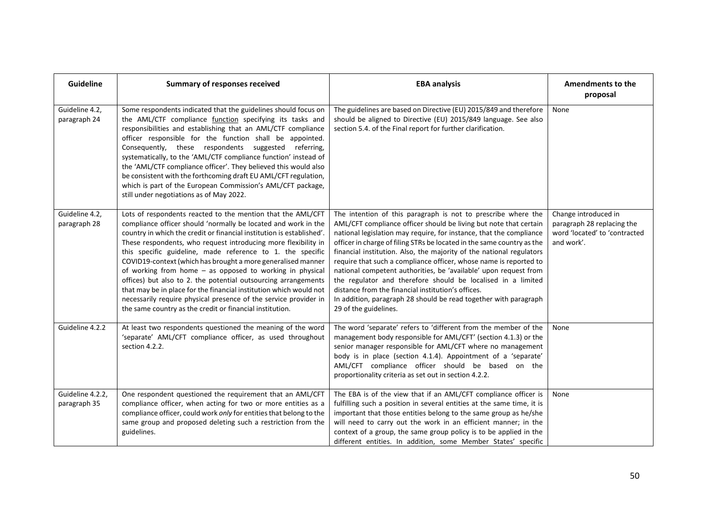| <b>Guideline</b>                 | <b>Summary of responses received</b>                                                                                                                                                                                                                                                                                                                                                                                                                                                                                                                                                                                                                                                                                                       | <b>EBA analysis</b>                                                                                                                                                                                                                                                                                                                                                                                                                                                                                                                                                                                                                                                                                                     | <b>Amendments to the</b><br>proposal                                                              |
|----------------------------------|--------------------------------------------------------------------------------------------------------------------------------------------------------------------------------------------------------------------------------------------------------------------------------------------------------------------------------------------------------------------------------------------------------------------------------------------------------------------------------------------------------------------------------------------------------------------------------------------------------------------------------------------------------------------------------------------------------------------------------------------|-------------------------------------------------------------------------------------------------------------------------------------------------------------------------------------------------------------------------------------------------------------------------------------------------------------------------------------------------------------------------------------------------------------------------------------------------------------------------------------------------------------------------------------------------------------------------------------------------------------------------------------------------------------------------------------------------------------------------|---------------------------------------------------------------------------------------------------|
| Guideline 4.2,<br>paragraph 24   | Some respondents indicated that the guidelines should focus on<br>the AML/CTF compliance function specifying its tasks and<br>responsibilities and establishing that an AML/CTF compliance<br>officer responsible for the function shall be appointed.<br>Consequently, these respondents suggested referring,<br>systematically, to the 'AML/CTF compliance function' instead of<br>the 'AML/CTF compliance officer'. They believed this would also<br>be consistent with the forthcoming draft EU AML/CFT regulation,<br>which is part of the European Commission's AML/CFT package,<br>still under negotiations as of May 2022.                                                                                                         | The guidelines are based on Directive (EU) 2015/849 and therefore<br>should be aligned to Directive (EU) 2015/849 language. See also<br>section 5.4. of the Final report for further clarification.                                                                                                                                                                                                                                                                                                                                                                                                                                                                                                                     | None                                                                                              |
| Guideline 4.2,<br>paragraph 28   | Lots of respondents reacted to the mention that the AML/CFT<br>compliance officer should 'normally be located and work in the<br>country in which the credit or financial institution is established'.<br>These respondents, who request introducing more flexibility in<br>this specific guideline, made reference to 1. the specific<br>COVID19-context (which has brought a more generalised manner<br>of working from home - as opposed to working in physical<br>offices) but also to 2. the potential outsourcing arrangements<br>that may be in place for the financial institution which would not<br>necessarily require physical presence of the service provider in<br>the same country as the credit or financial institution. | The intention of this paragraph is not to prescribe where the<br>AML/CFT compliance officer should be living but note that certain<br>national legislation may require, for instance, that the compliance<br>officer in charge of filing STRs be located in the same country as the<br>financial institution. Also, the majority of the national regulators<br>require that such a compliance officer, whose name is reported to<br>national competent authorities, be 'available' upon request from<br>the regulator and therefore should be localised in a limited<br>distance from the financial institution's offices.<br>In addition, paragraph 28 should be read together with paragraph<br>29 of the guidelines. | Change introduced in<br>paragraph 28 replacing the<br>word 'located' to 'contracted<br>and work'. |
| Guideline 4.2.2                  | At least two respondents questioned the meaning of the word<br>'separate' AML/CFT compliance officer, as used throughout<br>section 4.2.2.                                                                                                                                                                                                                                                                                                                                                                                                                                                                                                                                                                                                 | The word 'separate' refers to 'different from the member of the<br>management body responsible for AML/CFT' (section 4.1.3) or the<br>senior manager responsible for AML/CFT where no management<br>body is in place (section 4.1.4). Appointment of a 'separate'<br>AML/CFT compliance officer should be based on the<br>proportionality criteria as set out in section 4.2.2.                                                                                                                                                                                                                                                                                                                                         | None                                                                                              |
| Guideline 4.2.2,<br>paragraph 35 | One respondent questioned the requirement that an AML/CFT<br>compliance officer, when acting for two or more entities as a<br>compliance officer, could work only for entities that belong to the<br>same group and proposed deleting such a restriction from the<br>guidelines.                                                                                                                                                                                                                                                                                                                                                                                                                                                           | The EBA is of the view that if an AML/CFT compliance officer is<br>fulfilling such a position in several entities at the same time, it is<br>important that those entities belong to the same group as he/she<br>will need to carry out the work in an efficient manner; in the<br>context of a group, the same group policy is to be applied in the<br>different entities. In addition, some Member States' specific                                                                                                                                                                                                                                                                                                   | None                                                                                              |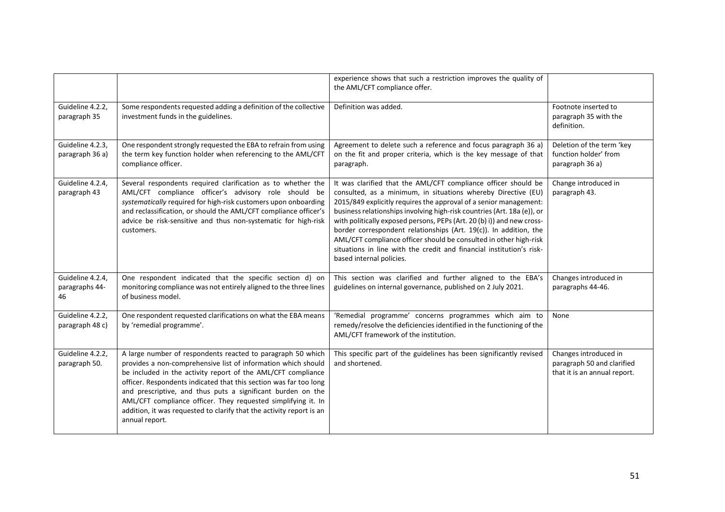|                                          |                                                                                                                                                                                                                                                                                                                                                                                                                                                                                             | experience shows that such a restriction improves the quality of<br>the AML/CFT compliance offer.                                                                                                                                                                                                                                                                                                                                                                                                                                                                                                       |                                                                                     |
|------------------------------------------|---------------------------------------------------------------------------------------------------------------------------------------------------------------------------------------------------------------------------------------------------------------------------------------------------------------------------------------------------------------------------------------------------------------------------------------------------------------------------------------------|---------------------------------------------------------------------------------------------------------------------------------------------------------------------------------------------------------------------------------------------------------------------------------------------------------------------------------------------------------------------------------------------------------------------------------------------------------------------------------------------------------------------------------------------------------------------------------------------------------|-------------------------------------------------------------------------------------|
| Guideline 4.2.2,<br>paragraph 35         | Some respondents requested adding a definition of the collective<br>investment funds in the guidelines.                                                                                                                                                                                                                                                                                                                                                                                     | Definition was added.                                                                                                                                                                                                                                                                                                                                                                                                                                                                                                                                                                                   | Footnote inserted to<br>paragraph 35 with the<br>definition.                        |
| Guideline 4.2.3,<br>paragraph 36 a)      | One respondent strongly requested the EBA to refrain from using<br>the term key function holder when referencing to the AML/CFT<br>compliance officer.                                                                                                                                                                                                                                                                                                                                      | Agreement to delete such a reference and focus paragraph 36 a)<br>on the fit and proper criteria, which is the key message of that<br>paragraph.                                                                                                                                                                                                                                                                                                                                                                                                                                                        | Deletion of the term 'key<br>function holder' from<br>paragraph 36 a)               |
| Guideline 4.2.4,<br>paragraph 43         | Several respondents required clarification as to whether the<br>AML/CFT compliance officer's advisory role should be<br>systematically required for high-risk customers upon onboarding<br>and reclassification, or should the AML/CFT compliance officer's<br>advice be risk-sensitive and thus non-systematic for high-risk<br>customers.                                                                                                                                                 | It was clarified that the AML/CFT compliance officer should be<br>consulted, as a minimum, in situations whereby Directive (EU)<br>2015/849 explicitly requires the approval of a senior management:<br>business relationships involving high-risk countries (Art. 18a (e)), or<br>with politically exposed persons, PEPs (Art. 20 (b) i)) and new cross-<br>border correspondent relationships (Art. 19(c)). In addition, the<br>AML/CFT compliance officer should be consulted in other high-risk<br>situations in line with the credit and financial institution's risk-<br>based internal policies. | Change introduced in<br>paragraph 43.                                               |
| Guideline 4.2.4,<br>paragraphs 44-<br>46 | One respondent indicated that the specific section d) on<br>monitoring compliance was not entirely aligned to the three lines<br>of business model.                                                                                                                                                                                                                                                                                                                                         | This section was clarified and further aligned to the EBA's<br>guidelines on internal governance, published on 2 July 2021.                                                                                                                                                                                                                                                                                                                                                                                                                                                                             | Changes introduced in<br>paragraphs 44-46.                                          |
| Guideline 4.2.2,<br>paragraph 48 c)      | One respondent requested clarifications on what the EBA means<br>by 'remedial programme'.                                                                                                                                                                                                                                                                                                                                                                                                   | 'Remedial programme' concerns programmes which aim to<br>remedy/resolve the deficiencies identified in the functioning of the<br>AML/CFT framework of the institution.                                                                                                                                                                                                                                                                                                                                                                                                                                  | None                                                                                |
| Guideline 4.2.2,<br>paragraph 50.        | A large number of respondents reacted to paragraph 50 which<br>provides a non-comprehensive list of information which should<br>be included in the activity report of the AML/CFT compliance<br>officer. Respondents indicated that this section was far too long<br>and prescriptive, and thus puts a significant burden on the<br>AML/CFT compliance officer. They requested simplifying it. In<br>addition, it was requested to clarify that the activity report is an<br>annual report. | This specific part of the guidelines has been significantly revised<br>and shortened.                                                                                                                                                                                                                                                                                                                                                                                                                                                                                                                   | Changes introduced in<br>paragraph 50 and clarified<br>that it is an annual report. |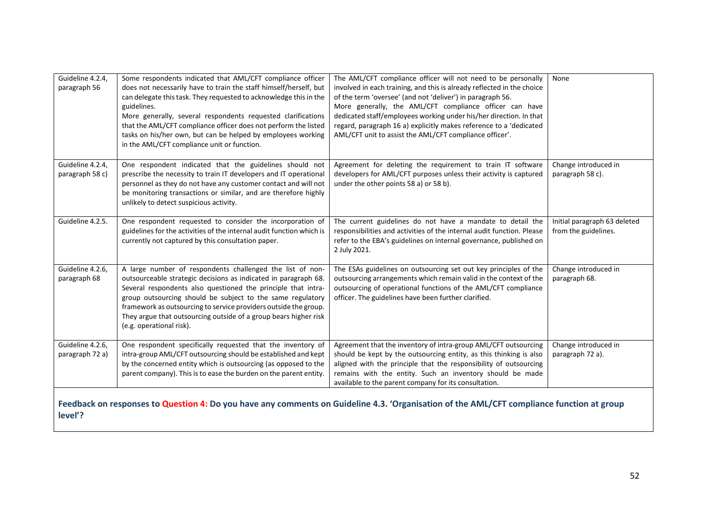| Guideline 4.2.4,<br>paragraph 56    | Some respondents indicated that AML/CFT compliance officer<br>does not necessarily have to train the staff himself/herself, but<br>can delegate this task. They requested to acknowledge this in the<br>guidelines.<br>More generally, several respondents requested clarifications<br>that the AML/CFT compliance officer does not perform the listed<br>tasks on his/her own, but can be helped by employees working<br>in the AML/CFT compliance unit or function. | The AML/CFT compliance officer will not need to be personally<br>involved in each training, and this is already reflected in the choice<br>of the term 'oversee' (and not 'deliver') in paragraph 56.<br>More generally, the AML/CFT compliance officer can have<br>dedicated staff/employees working under his/her direction. In that<br>regard, paragraph 16 a) explicitly makes reference to a 'dedicated<br>AML/CFT unit to assist the AML/CFT compliance officer'. | None                                                 |
|-------------------------------------|-----------------------------------------------------------------------------------------------------------------------------------------------------------------------------------------------------------------------------------------------------------------------------------------------------------------------------------------------------------------------------------------------------------------------------------------------------------------------|-------------------------------------------------------------------------------------------------------------------------------------------------------------------------------------------------------------------------------------------------------------------------------------------------------------------------------------------------------------------------------------------------------------------------------------------------------------------------|------------------------------------------------------|
| Guideline 4.2.4,<br>paragraph 58 c) | One respondent indicated that the guidelines should not<br>prescribe the necessity to train IT developers and IT operational<br>personnel as they do not have any customer contact and will not<br>be monitoring transactions or similar, and are therefore highly<br>unlikely to detect suspicious activity.                                                                                                                                                         | Agreement for deleting the requirement to train IT software<br>developers for AML/CFT purposes unless their activity is captured<br>under the other points 58 a) or 58 b).                                                                                                                                                                                                                                                                                              | Change introduced in<br>paragraph 58 c).             |
| Guideline 4.2.5.                    | One respondent requested to consider the incorporation of<br>guidelines for the activities of the internal audit function which is<br>currently not captured by this consultation paper.                                                                                                                                                                                                                                                                              | The current guidelines do not have a mandate to detail the<br>responsibilities and activities of the internal audit function. Please<br>refer to the EBA's guidelines on internal governance, published on<br>2 July 2021.                                                                                                                                                                                                                                              | Initial paragraph 63 deleted<br>from the guidelines. |
| Guideline 4.2.6,<br>paragraph 68    | A large number of respondents challenged the list of non-<br>outsourceable strategic decisions as indicated in paragraph 68.<br>Several respondents also questioned the principle that intra-<br>group outsourcing should be subject to the same regulatory<br>framework as outsourcing to service providers outside the group.<br>They argue that outsourcing outside of a group bears higher risk<br>(e.g. operational risk).                                       | The ESAs guidelines on outsourcing set out key principles of the<br>outsourcing arrangements which remain valid in the context of the<br>outsourcing of operational functions of the AML/CFT compliance<br>officer. The guidelines have been further clarified.                                                                                                                                                                                                         | Change introduced in<br>paragraph 68.                |
| Guideline 4.2.6,<br>paragraph 72 a) | One respondent specifically requested that the inventory of<br>intra-group AML/CFT outsourcing should be established and kept<br>by the concerned entity which is outsourcing (as opposed to the<br>parent company). This is to ease the burden on the parent entity.                                                                                                                                                                                                 | Agreement that the inventory of intra-group AML/CFT outsourcing<br>should be kept by the outsourcing entity, as this thinking is also<br>aligned with the principle that the responsibility of outsourcing<br>remains with the entity. Such an inventory should be made<br>available to the parent company for its consultation.                                                                                                                                        | Change introduced in<br>paragraph 72 a).             |
| level'?                             |                                                                                                                                                                                                                                                                                                                                                                                                                                                                       | Feedback on responses to Question 4: Do you have any comments on Guideline 4.3. 'Organisation of the AML/CFT compliance function at group                                                                                                                                                                                                                                                                                                                               |                                                      |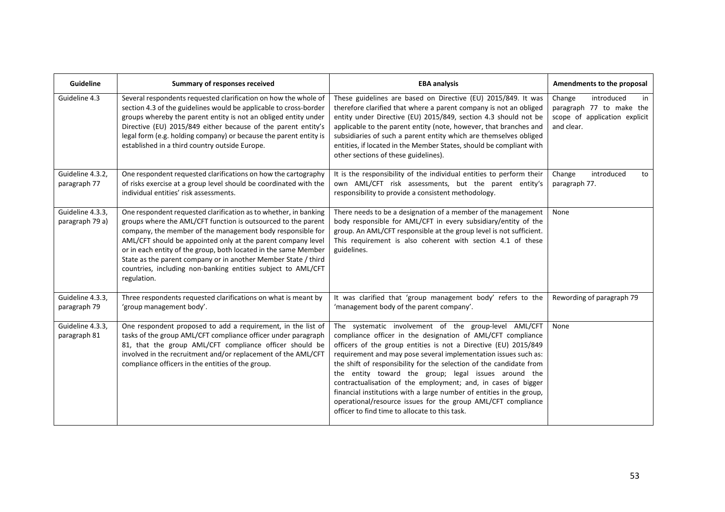| <b>Guideline</b>                    | <b>Summary of responses received</b>                                                                                                                                                                                                                                                                                                                                                                                                                                                | <b>EBA analysis</b>                                                                                                                                                                                                                                                                                                                                                                                                                                                                                                                                                                                                                                  | Amendments to the proposal                                                                            |
|-------------------------------------|-------------------------------------------------------------------------------------------------------------------------------------------------------------------------------------------------------------------------------------------------------------------------------------------------------------------------------------------------------------------------------------------------------------------------------------------------------------------------------------|------------------------------------------------------------------------------------------------------------------------------------------------------------------------------------------------------------------------------------------------------------------------------------------------------------------------------------------------------------------------------------------------------------------------------------------------------------------------------------------------------------------------------------------------------------------------------------------------------------------------------------------------------|-------------------------------------------------------------------------------------------------------|
| Guideline 4.3                       | Several respondents requested clarification on how the whole of<br>section 4.3 of the guidelines would be applicable to cross-border<br>groups whereby the parent entity is not an obliged entity under<br>Directive (EU) 2015/849 either because of the parent entity's<br>legal form (e.g. holding company) or because the parent entity is<br>established in a third country outside Europe.                                                                                     | These guidelines are based on Directive (EU) 2015/849. It was<br>therefore clarified that where a parent company is not an obliged<br>entity under Directive (EU) 2015/849, section 4.3 should not be<br>applicable to the parent entity (note, however, that branches and<br>subsidiaries of such a parent entity which are themselves obliged<br>entities, if located in the Member States, should be compliant with<br>other sections of these guidelines).                                                                                                                                                                                       | introduced<br>Change<br>in<br>paragraph 77 to make the<br>scope of application explicit<br>and clear. |
| Guideline 4.3.2,<br>paragraph 77    | One respondent requested clarifications on how the cartography<br>of risks exercise at a group level should be coordinated with the<br>individual entities' risk assessments.                                                                                                                                                                                                                                                                                                       | It is the responsibility of the individual entities to perform their<br>own AML/CFT risk assessments, but the parent entity's<br>responsibility to provide a consistent methodology.                                                                                                                                                                                                                                                                                                                                                                                                                                                                 | introduced<br>Change<br>to<br>paragraph 77.                                                           |
| Guideline 4.3.3,<br>paragraph 79 a) | One respondent requested clarification as to whether, in banking<br>groups where the AML/CFT function is outsourced to the parent<br>company, the member of the management body responsible for<br>AML/CFT should be appointed only at the parent company level<br>or in each entity of the group, both located in the same Member<br>State as the parent company or in another Member State / third<br>countries, including non-banking entities subject to AML/CFT<br>regulation. | There needs to be a designation of a member of the management<br>body responsible for AML/CFT in every subsidiary/entity of the<br>group. An AML/CFT responsible at the group level is not sufficient.<br>This requirement is also coherent with section 4.1 of these<br>guidelines.                                                                                                                                                                                                                                                                                                                                                                 | None                                                                                                  |
| Guideline 4.3.3,<br>paragraph 79    | Three respondents requested clarifications on what is meant by<br>'group management body'.                                                                                                                                                                                                                                                                                                                                                                                          | It was clarified that 'group management body' refers to the<br>'management body of the parent company'.                                                                                                                                                                                                                                                                                                                                                                                                                                                                                                                                              | Rewording of paragraph 79                                                                             |
| Guideline 4.3.3,<br>paragraph 81    | One respondent proposed to add a requirement, in the list of<br>tasks of the group AML/CFT compliance officer under paragraph<br>81, that the group AML/CFT compliance officer should be<br>involved in the recruitment and/or replacement of the AML/CFT<br>compliance officers in the entities of the group.                                                                                                                                                                      | The systematic involvement of the group-level AML/CFT<br>compliance officer in the designation of AML/CFT compliance<br>officers of the group entities is not a Directive (EU) 2015/849<br>requirement and may pose several implementation issues such as:<br>the shift of responsibility for the selection of the candidate from<br>the entity toward the group; legal issues around the<br>contractualisation of the employment; and, in cases of bigger<br>financial institutions with a large number of entities in the group,<br>operational/resource issues for the group AML/CFT compliance<br>officer to find time to allocate to this task. | None                                                                                                  |